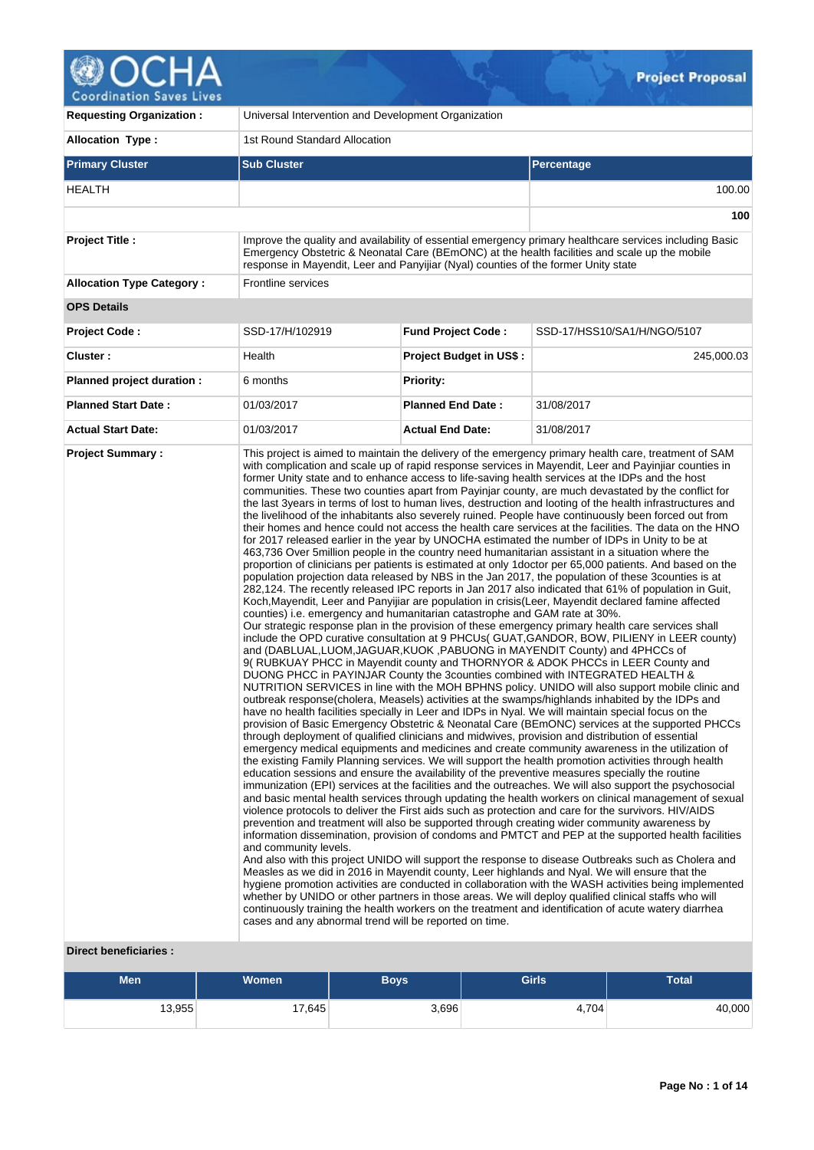

| <b>Requesting Organization:</b>  | Universal Intervention and Development Organization                                                                                                           |                                |                                                                                                                                                                                                                                                                                                                                                                                                                                                                                                                                                                                                                                                                                                                                                                                                                                                                                                                                                                                                                                                                                                                                                                                                                                                                                                                                                                                                                                                                                                                                                                                                                                                                                                                                                                                                                                                                                                                                                                                                                                                                                                                                                                                                                                                                                                                                                                                                                                                                                                                                                                                                                                                                                                                                                                                                                                                                                                                                                                                                                                                                                                                                                                                                                                                                                                                                                                                                                                                                                                                                                                                                                                                                                                                                                                          |  |  |  |  |  |  |
|----------------------------------|---------------------------------------------------------------------------------------------------------------------------------------------------------------|--------------------------------|--------------------------------------------------------------------------------------------------------------------------------------------------------------------------------------------------------------------------------------------------------------------------------------------------------------------------------------------------------------------------------------------------------------------------------------------------------------------------------------------------------------------------------------------------------------------------------------------------------------------------------------------------------------------------------------------------------------------------------------------------------------------------------------------------------------------------------------------------------------------------------------------------------------------------------------------------------------------------------------------------------------------------------------------------------------------------------------------------------------------------------------------------------------------------------------------------------------------------------------------------------------------------------------------------------------------------------------------------------------------------------------------------------------------------------------------------------------------------------------------------------------------------------------------------------------------------------------------------------------------------------------------------------------------------------------------------------------------------------------------------------------------------------------------------------------------------------------------------------------------------------------------------------------------------------------------------------------------------------------------------------------------------------------------------------------------------------------------------------------------------------------------------------------------------------------------------------------------------------------------------------------------------------------------------------------------------------------------------------------------------------------------------------------------------------------------------------------------------------------------------------------------------------------------------------------------------------------------------------------------------------------------------------------------------------------------------------------------------------------------------------------------------------------------------------------------------------------------------------------------------------------------------------------------------------------------------------------------------------------------------------------------------------------------------------------------------------------------------------------------------------------------------------------------------------------------------------------------------------------------------------------------------------------------------------------------------------------------------------------------------------------------------------------------------------------------------------------------------------------------------------------------------------------------------------------------------------------------------------------------------------------------------------------------------------------------------------------------------------------------------------------------------|--|--|--|--|--|--|
| <b>Allocation Type:</b>          | 1st Round Standard Allocation                                                                                                                                 |                                |                                                                                                                                                                                                                                                                                                                                                                                                                                                                                                                                                                                                                                                                                                                                                                                                                                                                                                                                                                                                                                                                                                                                                                                                                                                                                                                                                                                                                                                                                                                                                                                                                                                                                                                                                                                                                                                                                                                                                                                                                                                                                                                                                                                                                                                                                                                                                                                                                                                                                                                                                                                                                                                                                                                                                                                                                                                                                                                                                                                                                                                                                                                                                                                                                                                                                                                                                                                                                                                                                                                                                                                                                                                                                                                                                                          |  |  |  |  |  |  |
| <b>Primary Cluster</b>           | <b>Sub Cluster</b>                                                                                                                                            |                                | Percentage                                                                                                                                                                                                                                                                                                                                                                                                                                                                                                                                                                                                                                                                                                                                                                                                                                                                                                                                                                                                                                                                                                                                                                                                                                                                                                                                                                                                                                                                                                                                                                                                                                                                                                                                                                                                                                                                                                                                                                                                                                                                                                                                                                                                                                                                                                                                                                                                                                                                                                                                                                                                                                                                                                                                                                                                                                                                                                                                                                                                                                                                                                                                                                                                                                                                                                                                                                                                                                                                                                                                                                                                                                                                                                                                                               |  |  |  |  |  |  |
| HEALTH                           |                                                                                                                                                               |                                | 100.00                                                                                                                                                                                                                                                                                                                                                                                                                                                                                                                                                                                                                                                                                                                                                                                                                                                                                                                                                                                                                                                                                                                                                                                                                                                                                                                                                                                                                                                                                                                                                                                                                                                                                                                                                                                                                                                                                                                                                                                                                                                                                                                                                                                                                                                                                                                                                                                                                                                                                                                                                                                                                                                                                                                                                                                                                                                                                                                                                                                                                                                                                                                                                                                                                                                                                                                                                                                                                                                                                                                                                                                                                                                                                                                                                                   |  |  |  |  |  |  |
|                                  |                                                                                                                                                               |                                | 100                                                                                                                                                                                                                                                                                                                                                                                                                                                                                                                                                                                                                                                                                                                                                                                                                                                                                                                                                                                                                                                                                                                                                                                                                                                                                                                                                                                                                                                                                                                                                                                                                                                                                                                                                                                                                                                                                                                                                                                                                                                                                                                                                                                                                                                                                                                                                                                                                                                                                                                                                                                                                                                                                                                                                                                                                                                                                                                                                                                                                                                                                                                                                                                                                                                                                                                                                                                                                                                                                                                                                                                                                                                                                                                                                                      |  |  |  |  |  |  |
| <b>Project Title:</b>            | response in Mayendit, Leer and Panyijiar (Nyal) counties of the former Unity state                                                                            |                                | Improve the quality and availability of essential emergency primary healthcare services including Basic<br>Emergency Obstetric & Neonatal Care (BEmONC) at the health facilities and scale up the mobile                                                                                                                                                                                                                                                                                                                                                                                                                                                                                                                                                                                                                                                                                                                                                                                                                                                                                                                                                                                                                                                                                                                                                                                                                                                                                                                                                                                                                                                                                                                                                                                                                                                                                                                                                                                                                                                                                                                                                                                                                                                                                                                                                                                                                                                                                                                                                                                                                                                                                                                                                                                                                                                                                                                                                                                                                                                                                                                                                                                                                                                                                                                                                                                                                                                                                                                                                                                                                                                                                                                                                                 |  |  |  |  |  |  |
| <b>Allocation Type Category:</b> | <b>Frontline services</b>                                                                                                                                     |                                |                                                                                                                                                                                                                                                                                                                                                                                                                                                                                                                                                                                                                                                                                                                                                                                                                                                                                                                                                                                                                                                                                                                                                                                                                                                                                                                                                                                                                                                                                                                                                                                                                                                                                                                                                                                                                                                                                                                                                                                                                                                                                                                                                                                                                                                                                                                                                                                                                                                                                                                                                                                                                                                                                                                                                                                                                                                                                                                                                                                                                                                                                                                                                                                                                                                                                                                                                                                                                                                                                                                                                                                                                                                                                                                                                                          |  |  |  |  |  |  |
| <b>OPS Details</b>               |                                                                                                                                                               |                                |                                                                                                                                                                                                                                                                                                                                                                                                                                                                                                                                                                                                                                                                                                                                                                                                                                                                                                                                                                                                                                                                                                                                                                                                                                                                                                                                                                                                                                                                                                                                                                                                                                                                                                                                                                                                                                                                                                                                                                                                                                                                                                                                                                                                                                                                                                                                                                                                                                                                                                                                                                                                                                                                                                                                                                                                                                                                                                                                                                                                                                                                                                                                                                                                                                                                                                                                                                                                                                                                                                                                                                                                                                                                                                                                                                          |  |  |  |  |  |  |
| <b>Project Code:</b>             | SSD-17/H/102919                                                                                                                                               | <b>Fund Project Code:</b>      | SSD-17/HSS10/SA1/H/NGO/5107                                                                                                                                                                                                                                                                                                                                                                                                                                                                                                                                                                                                                                                                                                                                                                                                                                                                                                                                                                                                                                                                                                                                                                                                                                                                                                                                                                                                                                                                                                                                                                                                                                                                                                                                                                                                                                                                                                                                                                                                                                                                                                                                                                                                                                                                                                                                                                                                                                                                                                                                                                                                                                                                                                                                                                                                                                                                                                                                                                                                                                                                                                                                                                                                                                                                                                                                                                                                                                                                                                                                                                                                                                                                                                                                              |  |  |  |  |  |  |
| Cluster:                         | Health                                                                                                                                                        | <b>Project Budget in US\$:</b> | 245,000.03                                                                                                                                                                                                                                                                                                                                                                                                                                                                                                                                                                                                                                                                                                                                                                                                                                                                                                                                                                                                                                                                                                                                                                                                                                                                                                                                                                                                                                                                                                                                                                                                                                                                                                                                                                                                                                                                                                                                                                                                                                                                                                                                                                                                                                                                                                                                                                                                                                                                                                                                                                                                                                                                                                                                                                                                                                                                                                                                                                                                                                                                                                                                                                                                                                                                                                                                                                                                                                                                                                                                                                                                                                                                                                                                                               |  |  |  |  |  |  |
| Planned project duration :       | 6 months                                                                                                                                                      | <b>Priority:</b>               |                                                                                                                                                                                                                                                                                                                                                                                                                                                                                                                                                                                                                                                                                                                                                                                                                                                                                                                                                                                                                                                                                                                                                                                                                                                                                                                                                                                                                                                                                                                                                                                                                                                                                                                                                                                                                                                                                                                                                                                                                                                                                                                                                                                                                                                                                                                                                                                                                                                                                                                                                                                                                                                                                                                                                                                                                                                                                                                                                                                                                                                                                                                                                                                                                                                                                                                                                                                                                                                                                                                                                                                                                                                                                                                                                                          |  |  |  |  |  |  |
| <b>Planned Start Date:</b>       | 01/03/2017                                                                                                                                                    | <b>Planned End Date:</b>       | 31/08/2017                                                                                                                                                                                                                                                                                                                                                                                                                                                                                                                                                                                                                                                                                                                                                                                                                                                                                                                                                                                                                                                                                                                                                                                                                                                                                                                                                                                                                                                                                                                                                                                                                                                                                                                                                                                                                                                                                                                                                                                                                                                                                                                                                                                                                                                                                                                                                                                                                                                                                                                                                                                                                                                                                                                                                                                                                                                                                                                                                                                                                                                                                                                                                                                                                                                                                                                                                                                                                                                                                                                                                                                                                                                                                                                                                               |  |  |  |  |  |  |
| <b>Actual Start Date:</b>        | 01/03/2017                                                                                                                                                    | <b>Actual End Date:</b>        | 31/08/2017                                                                                                                                                                                                                                                                                                                                                                                                                                                                                                                                                                                                                                                                                                                                                                                                                                                                                                                                                                                                                                                                                                                                                                                                                                                                                                                                                                                                                                                                                                                                                                                                                                                                                                                                                                                                                                                                                                                                                                                                                                                                                                                                                                                                                                                                                                                                                                                                                                                                                                                                                                                                                                                                                                                                                                                                                                                                                                                                                                                                                                                                                                                                                                                                                                                                                                                                                                                                                                                                                                                                                                                                                                                                                                                                                               |  |  |  |  |  |  |
| <b>Project Summary:</b>          | counties) i.e. emergency and humanitarian catastrophe and GAM rate at 30%.<br>and community levels.<br>cases and any abnormal trend will be reported on time. |                                | This project is aimed to maintain the delivery of the emergency primary health care, treatment of SAM<br>with complication and scale up of rapid response services in Mayendit, Leer and Payinjiar counties in<br>former Unity state and to enhance access to life-saving health services at the IDPs and the host<br>communities. These two counties apart from Payinjar county, are much devastated by the conflict for<br>the last 3years in terms of lost to human lives, destruction and looting of the health infrastructures and<br>the livelihood of the inhabitants also severely ruined. People have continuously been forced out from<br>their homes and hence could not access the health care services at the facilities. The data on the HNO<br>for 2017 released earlier in the year by UNOCHA estimated the number of IDPs in Unity to be at<br>463,736 Over 5 million people in the country need humanitarian assistant in a situation where the<br>proportion of clinicians per patients is estimated at only 1 doctor per 65,000 patients. And based on the<br>population projection data released by NBS in the Jan 2017, the population of these 3 counties is at<br>282,124. The recently released IPC reports in Jan 2017 also indicated that 61% of population in Guit,<br>Koch, Mayendit, Leer and Panyijiar are population in crisis(Leer, Mayendit declared famine affected<br>Our strategic response plan in the provision of these emergency primary health care services shall<br>include the OPD curative consultation at 9 PHCUs(GUAT, GANDOR, BOW, PILIENY in LEER county)<br>and (DABLUAL,LUOM,JAGUAR,KUOK, PABUONG in MAYENDIT County) and 4PHCCs of<br>9( RUBKUAY PHCC in Mayendit county and THORNYOR & ADOK PHCCs in LEER County and<br>DUONG PHCC in PAYINJAR County the 3counties combined with INTEGRATED HEALTH &<br>NUTRITION SERVICES in line with the MOH BPHNS policy. UNIDO will also support mobile clinic and<br>outbreak response(cholera, Measels) activities at the swamps/highlands inhabited by the IDPs and<br>have no health facilities specially in Leer and IDPs in Nyal. We will maintain special focus on the<br>provision of Basic Emergency Obstetric & Neonatal Care (BEmONC) services at the supported PHCCs<br>through deployment of qualified clinicians and midwives, provision and distribution of essential<br>emergency medical equipments and medicines and create community awareness in the utilization of<br>the existing Family Planning services. We will support the health promotion activities through health<br>education sessions and ensure the availability of the preventive measures specially the routine<br>immunization (EPI) services at the facilities and the outreaches. We will also support the psychosocial<br>and basic mental health services through updating the health workers on clinical management of sexual<br>violence protocols to deliver the First aids such as protection and care for the survivors. HIV/AIDS<br>prevention and treatment will also be supported through creating wider community awareness by<br>information dissemination, provision of condoms and PMTCT and PEP at the supported health facilities<br>And also with this project UNIDO will support the response to disease Outbreaks such as Cholera and<br>Measles as we did in 2016 in Mayendit county, Leer highlands and Nyal. We will ensure that the<br>hygiene promotion activities are conducted in collaboration with the WASH activities being implemented<br>whether by UNIDO or other partners in those areas. We will deploy qualified clinical staffs who will<br>continuously training the health workers on the treatment and identification of acute watery diarrhea |  |  |  |  |  |  |

## **Direct beneficiaries :**

| <b>Men</b> | <b>Women</b> | Boys  | <b>Girls</b> | <b>Total</b> |  |  |
|------------|--------------|-------|--------------|--------------|--|--|
| 13,955     | 17,645       | 3,696 | 4,704        | 40,000       |  |  |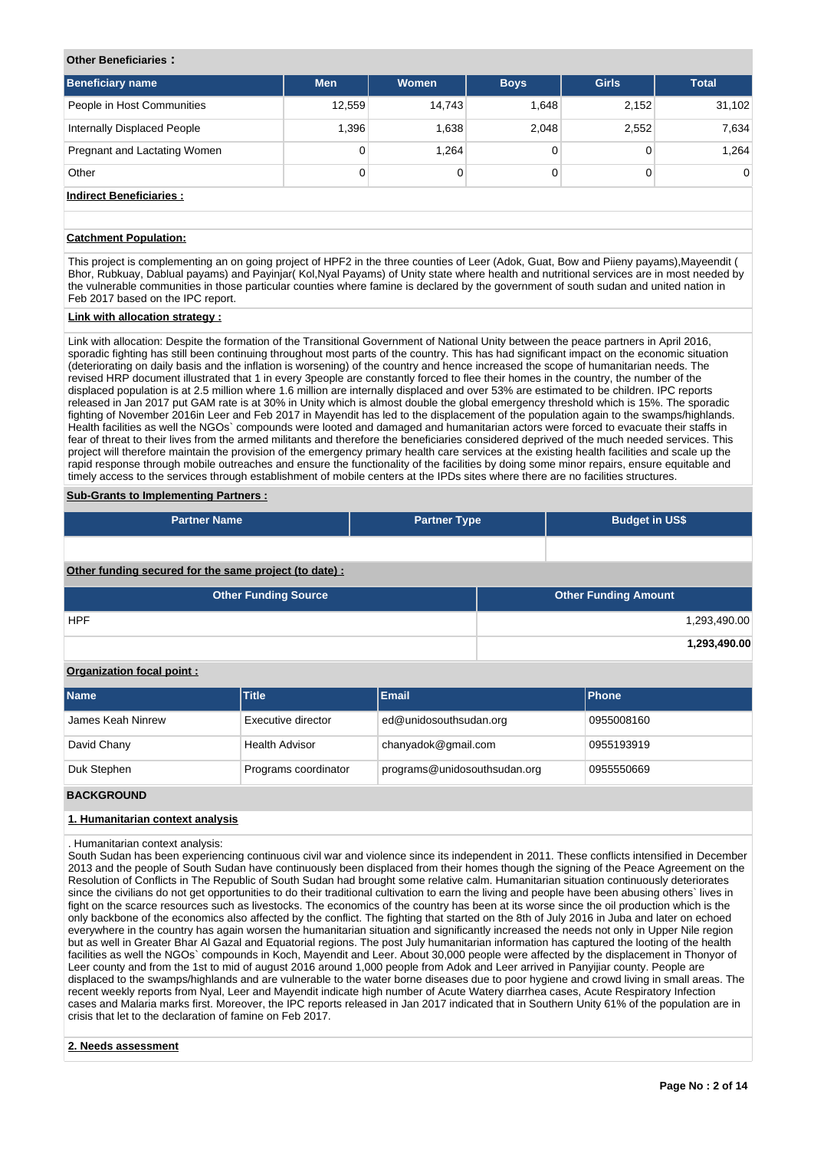#### **Other Beneficiaries :**

| <b>Beneficiary name</b>        | <b>Men</b> | Women  | <b>Boys</b> | <b>Girls</b> | <b>Total</b>   |
|--------------------------------|------------|--------|-------------|--------------|----------------|
| People in Host Communities     | 12.559     | 14.743 | 1.648       | 2,152        | 31,102         |
| Internally Displaced People    | 1,396      | 1,638  | 2,048       | 2,552        | 7,634          |
| Pregnant and Lactating Women   | 0          | 1.264  |             |              | 1.264          |
| Other                          | 0          |        | 0           |              | $\overline{0}$ |
| <b>Indirect Beneficiaries:</b> |            |        |             |              |                |

## **Catchment Population:**

This project is complementing an on going project of HPF2 in the three counties of Leer (Adok, Guat, Bow and Piieny payams),Mayeendit ( Bhor, Rubkuay, Dablual payams) and Payinjar( Kol,Nyal Payams) of Unity state where health and nutritional services are in most needed by the vulnerable communities in those particular counties where famine is declared by the government of south sudan and united nation in Feb 2017 based on the IPC report.

#### **Link with allocation strategy :**

Link with allocation: Despite the formation of the Transitional Government of National Unity between the peace partners in April 2016, sporadic fighting has still been continuing throughout most parts of the country. This has had significant impact on the economic situation (deteriorating on daily basis and the inflation is worsening) of the country and hence increased the scope of humanitarian needs. The revised HRP document illustrated that 1 in every 3people are constantly forced to flee their homes in the country, the number of the displaced population is at 2.5 million where 1.6 million are internally displaced and over 53% are estimated to be children. IPC reports released in Jan 2017 put GAM rate is at 30% in Unity which is almost double the global emergency threshold which is 15%. The sporadic fighting of November 2016in Leer and Feb 2017 in Mayendit has led to the displacement of the population again to the swamps/highlands. Health facilities as well the NGOs` compounds were looted and damaged and humanitarian actors were forced to evacuate their staffs in fear of threat to their lives from the armed militants and therefore the beneficiaries considered deprived of the much needed services. This project will therefore maintain the provision of the emergency primary health care services at the existing health facilities and scale up the rapid response through mobile outreaches and ensure the functionality of the facilities by doing some minor repairs, ensure equitable and timely access to the services through establishment of mobile centers at the IPDs sites where there are no facilities structures.

#### **Sub-Grants to Implementing Partners :**

| <b>Partner Name</b>                                    | <b>Partner Type</b> |  | <b>Budget in US\$</b>       |              |  |  |  |  |  |  |
|--------------------------------------------------------|---------------------|--|-----------------------------|--------------|--|--|--|--|--|--|
|                                                        |                     |  |                             |              |  |  |  |  |  |  |
| Other funding secured for the same project (to date) : |                     |  |                             |              |  |  |  |  |  |  |
| <b>Other Funding Source</b>                            |                     |  | <b>Other Funding Amount</b> |              |  |  |  |  |  |  |
| <b>HPF</b>                                             |                     |  |                             | 1,293,490.00 |  |  |  |  |  |  |
|                                                        |                     |  |                             | 1,293,490.00 |  |  |  |  |  |  |

## **Organization focal point :**

| Name              | <b>Title</b>          | Email                        | <b>Phone</b> |
|-------------------|-----------------------|------------------------------|--------------|
| James Keah Ninrew | Executive director    | ed@unidosouthsudan.org       | 0955008160   |
| David Chany       | <b>Health Advisor</b> | chanyadok@gmail.com          | 0955193919   |
| Duk Stephen       | Programs coordinator  | programs@unidosouthsudan.org | 0955550669   |

## **BACKGROUND**

#### **1. Humanitarian context analysis**

. Humanitarian context analysis:

South Sudan has been experiencing continuous civil war and violence since its independent in 2011. These conflicts intensified in December 2013 and the people of South Sudan have continuously been displaced from their homes though the signing of the Peace Agreement on the Resolution of Conflicts in The Republic of South Sudan had brought some relative calm. Humanitarian situation continuously deteriorates since the civilians do not get opportunities to do their traditional cultivation to earn the living and people have been abusing others` lives in fight on the scarce resources such as livestocks. The economics of the country has been at its worse since the oil production which is the only backbone of the economics also affected by the conflict. The fighting that started on the 8th of July 2016 in Juba and later on echoed everywhere in the country has again worsen the humanitarian situation and significantly increased the needs not only in Upper Nile region but as well in Greater Bhar Al Gazal and Equatorial regions. The post July humanitarian information has captured the looting of the health facilities as well the NGOs` compounds in Koch, Mayendit and Leer. About 30,000 people were affected by the displacement in Thonyor of Leer county and from the 1st to mid of august 2016 around 1,000 people from Adok and Leer arrived in Panyijiar county. People are displaced to the swamps/highlands and are vulnerable to the water borne diseases due to poor hygiene and crowd living in small areas. The recent weekly reports from Nyal, Leer and Mayendit indicate high number of Acute Watery diarrhea cases, Acute Respiratory Infection cases and Malaria marks first. Moreover, the IPC reports released in Jan 2017 indicated that in Southern Unity 61% of the population are in crisis that let to the declaration of famine on Feb 2017.

#### **2. Needs assessment**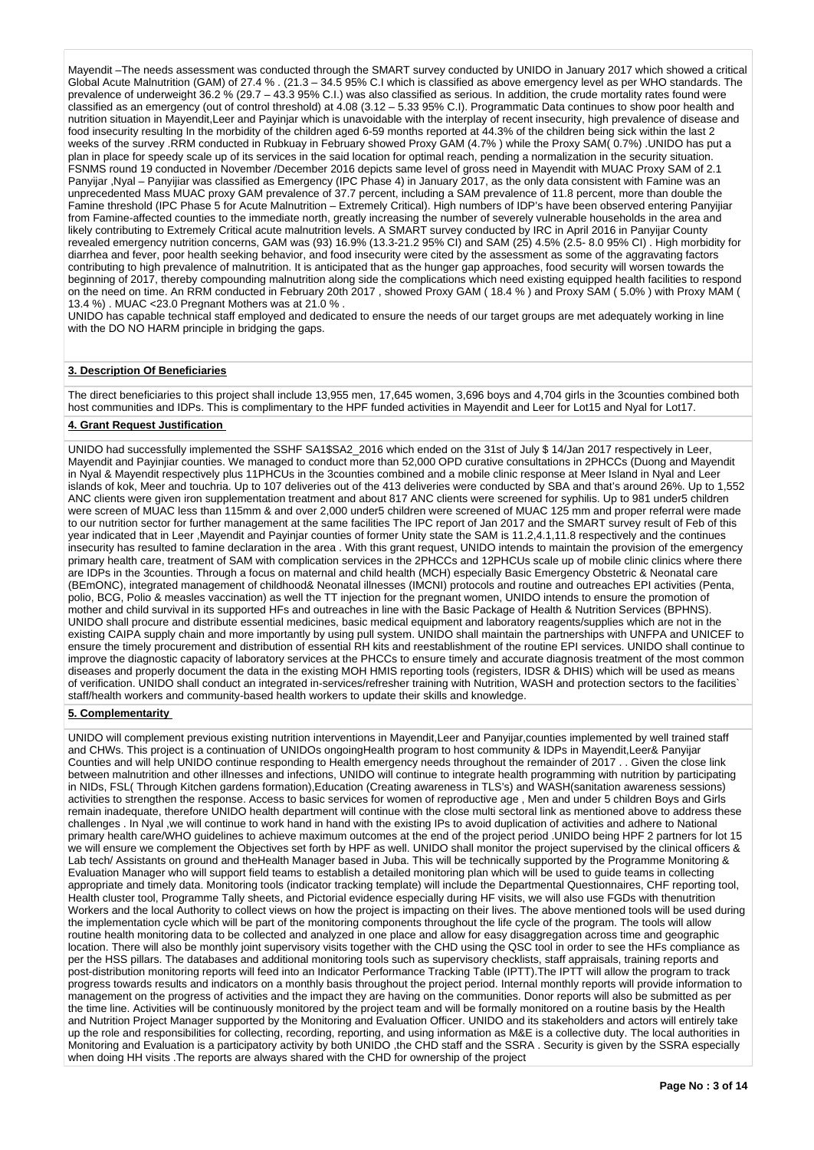Mayendit –The needs assessment was conducted through the SMART survey conducted by UNIDO in January 2017 which showed a critical Global Acute Malnutrition (GAM) of 27.4 % . (21.3 – 34.5 95% C.I which is classified as above emergency level as per WHO standards. The prevalence of underweight 36.2 % (29.7 – 43.3 95% C.I.) was also classified as serious. In addition, the crude mortality rates found were classified as an emergency (out of control threshold) at 4.08 (3.12 – 5.33 95% C.I). Programmatic Data continues to show poor health and nutrition situation in Mayendit,Leer and Payinjar which is unavoidable with the interplay of recent insecurity, high prevalence of disease and food insecurity resulting In the morbidity of the children aged 6-59 months reported at 44.3% of the children being sick within the last 2 weeks of the survey .RRM conducted in Rubkuay in February showed Proxy GAM (4.7% ) while the Proxy SAM( 0.7%) .UNIDO has put a plan in place for speedy scale up of its services in the said location for optimal reach, pending a normalization in the security situation. FSNMS round 19 conducted in November /December 2016 depicts same level of gross need in Mayendit with MUAC Proxy SAM of 2.1 Panyijar ,Nyal – Panyijiar was classified as Emergency (IPC Phase 4) in January 2017, as the only data consistent with Famine was an unprecedented Mass MUAC proxy GAM prevalence of 37.7 percent, including a SAM prevalence of 11.8 percent, more than double the Famine threshold (IPC Phase 5 for Acute Malnutrition – Extremely Critical). High numbers of IDP's have been observed entering Panyijiar from Famine-affected counties to the immediate north, greatly increasing the number of severely vulnerable households in the area and likely contributing to Extremely Critical acute malnutrition levels. A SMART survey conducted by IRC in April 2016 in Panyijar County revealed emergency nutrition concerns, GAM was (93) 16.9% (13.3-21.2 95% CI) and SAM (25) 4.5% (2.5- 8.0 95% CI) . High morbidity for diarrhea and fever, poor health seeking behavior, and food insecurity were cited by the assessment as some of the aggravating factors contributing to high prevalence of malnutrition. It is anticipated that as the hunger gap approaches, food security will worsen towards the beginning of 2017, thereby compounding malnutrition along side the complications which need existing equipped health facilities to respond on the need on time. An RRM conducted in February 20th 2017 , showed Proxy GAM ( 18.4 % ) and Proxy SAM ( 5.0% ) with Proxy MAM ( 13.4 %) . MUAC <23.0 Pregnant Mothers was at 21.0 % .

UNIDO has capable technical staff employed and dedicated to ensure the needs of our target groups are met adequately working in line with the DO NO HARM principle in bridging the gaps.

#### **3. Description Of Beneficiaries**

The direct beneficiaries to this project shall include 13,955 men, 17,645 women, 3,696 boys and 4,704 girls in the 3counties combined both host communities and IDPs. This is complimentary to the HPF funded activities in Mayendit and Leer for Lot15 and Nyal for Lot17.

## **4. Grant Request Justification**

UNIDO had successfully implemented the SSHF SA1\$SA2\_2016 which ended on the 31st of July \$ 14/Jan 2017 respectively in Leer, Mayendit and Payinjiar counties. We managed to conduct more than 52,000 OPD curative consultations in 2PHCCs (Duong and Mayendit in Nyal & Mayendit respectively plus 11PHCUs in the 3counties combined and a mobile clinic response at Meer Island in Nyal and Leer islands of kok, Meer and touchria. Up to 107 deliveries out of the 413 deliveries were conducted by SBA and that's around 26%. Up to 1,552 ANC clients were given iron supplementation treatment and about 817 ANC clients were screened for syphilis. Up to 981 under5 children were screen of MUAC less than 115mm & and over 2,000 under5 children were screened of MUAC 125 mm and proper referral were made to our nutrition sector for further management at the same facilities The IPC report of Jan 2017 and the SMART survey result of Feb of this year indicated that in Leer ,Mayendit and Payinjar counties of former Unity state the SAM is 11.2,4.1,11.8 respectively and the continues insecurity has resulted to famine declaration in the area . With this grant request, UNIDO intends to maintain the provision of the emergency primary health care, treatment of SAM with complication services in the 2PHCCs and 12PHCUs scale up of mobile clinic clinics where there are IDPs in the 3counties. Through a focus on maternal and child health (MCH) especially Basic Emergency Obstetric & Neonatal care (BEmONC), integrated management of childhood& Neonatal illnesses (IMCNI) protocols and routine and outreaches EPI activities (Penta, polio, BCG, Polio & measles vaccination) as well the TT injection for the pregnant women, UNIDO intends to ensure the promotion of mother and child survival in its supported HFs and outreaches in line with the Basic Package of Health & Nutrition Services (BPHNS). UNIDO shall procure and distribute essential medicines, basic medical equipment and laboratory reagents/supplies which are not in the existing CAIPA supply chain and more importantly by using pull system. UNIDO shall maintain the partnerships with UNFPA and UNICEF to ensure the timely procurement and distribution of essential RH kits and reestablishment of the routine EPI services. UNIDO shall continue to improve the diagnostic capacity of laboratory services at the PHCCs to ensure timely and accurate diagnosis treatment of the most common diseases and properly document the data in the existing MOH HMIS reporting tools (registers, IDSR & DHIS) which will be used as means of verification. UNIDO shall conduct an integrated in-services/refresher training with Nutrition, WASH and protection sectors to the facilities` staff/health workers and community-based health workers to update their skills and knowledge.

#### **5. Complementarity**

UNIDO will complement previous existing nutrition interventions in Mayendit,Leer and Panyijar,counties implemented by well trained staff and CHWs. This project is a continuation of UNIDOs ongoingHealth program to host community & IDPs in Mayendit,Leer& Panyijar Counties and will help UNIDO continue responding to Health emergency needs throughout the remainder of 2017 . . Given the close link between malnutrition and other illnesses and infections, UNIDO will continue to integrate health programming with nutrition by participating in NIDs, FSL( Through Kitchen gardens formation),Education (Creating awareness in TLS's) and WASH(sanitation awareness sessions) activities to strengthen the response. Access to basic services for women of reproductive age , Men and under 5 children Boys and Girls remain inadequate, therefore UNIDO health department will continue with the close multi sectoral link as mentioned above to address these challenges . In Nyal ,we will continue to work hand in hand with the existing IPs to avoid duplication of activities and adhere to National primary health care/WHO guidelines to achieve maximum outcomes at the end of the project period .UNIDO being HPF 2 partners for lot 15 we will ensure we complement the Objectives set forth by HPF as well. UNIDO shall monitor the project supervised by the clinical officers & Lab tech/ Assistants on ground and theHealth Manager based in Juba. This will be technically supported by the Programme Monitoring & Evaluation Manager who will support field teams to establish a detailed monitoring plan which will be used to guide teams in collecting appropriate and timely data. Monitoring tools (indicator tracking template) will include the Departmental Questionnaires, CHF reporting tool, Health cluster tool, Programme Tally sheets, and Pictorial evidence especially during HF visits, we will also use FGDs with thenutrition Workers and the local Authority to collect views on how the project is impacting on their lives. The above mentioned tools will be used during the implementation cycle which will be part of the monitoring components throughout the life cycle of the program. The tools will allow routine health monitoring data to be collected and analyzed in one place and allow for easy disaggregation across time and geographic location. There will also be monthly joint supervisory visits together with the CHD using the QSC tool in order to see the HFs compliance as per the HSS pillars. The databases and additional monitoring tools such as supervisory checklists, staff appraisals, training reports and post-distribution monitoring reports will feed into an Indicator Performance Tracking Table (IPTT).The IPTT will allow the program to track progress towards results and indicators on a monthly basis throughout the project period. Internal monthly reports will provide information to management on the progress of activities and the impact they are having on the communities. Donor reports will also be submitted as per the time line. Activities will be continuously monitored by the project team and will be formally monitored on a routine basis by the Health and Nutrition Project Manager supported by the Monitoring and Evaluation Officer. UNIDO and its stakeholders and actors will entirely take up the role and responsibilities for collecting, recording, reporting, and using information as M&E is a collective duty. The local authorities in Monitoring and Evaluation is a participatory activity by both UNIDO ,the CHD staff and the SSRA . Security is given by the SSRA especially when doing HH visits .The reports are always shared with the CHD for ownership of the project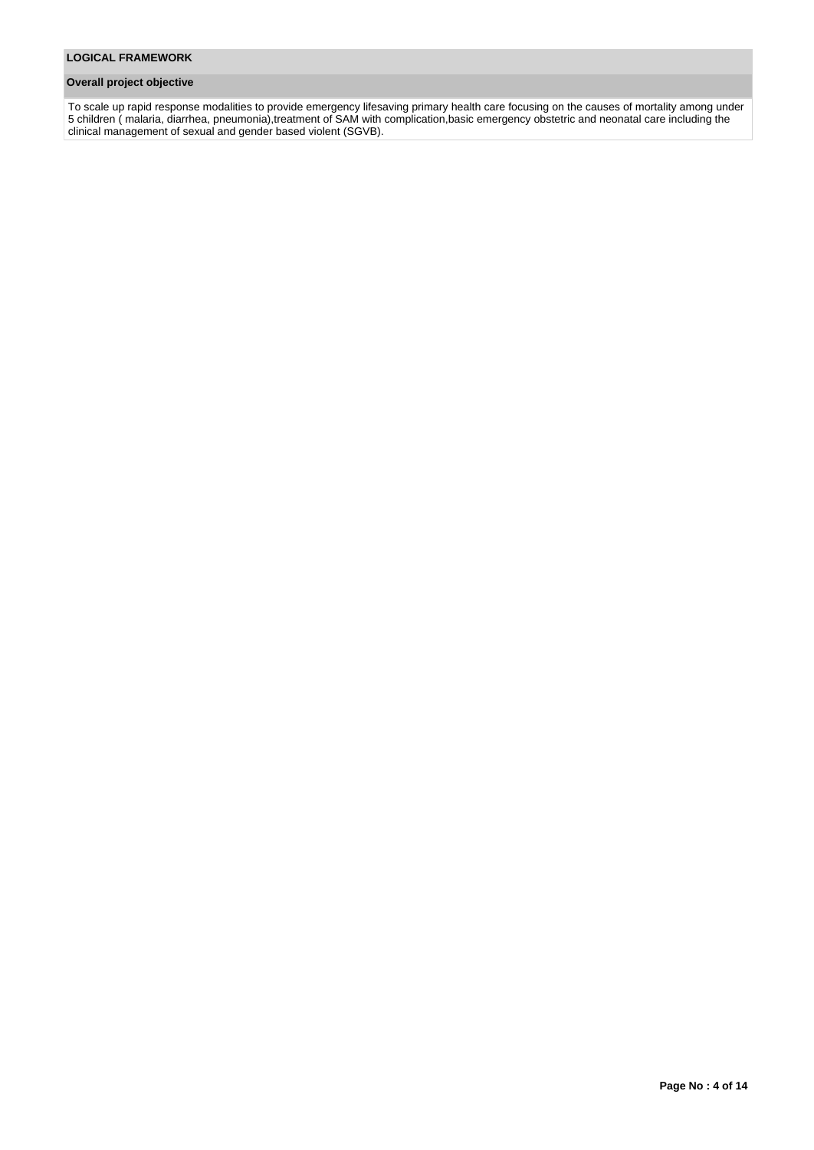## **Overall project objective**

To scale up rapid response modalities to provide emergency lifesaving primary health care focusing on the causes of mortality among under 5 children ( malaria, diarrhea, pneumonia),treatment of SAM with complication,basic emergency obstetric and neonatal care including the clinical management of sexual and gender based violent (SGVB).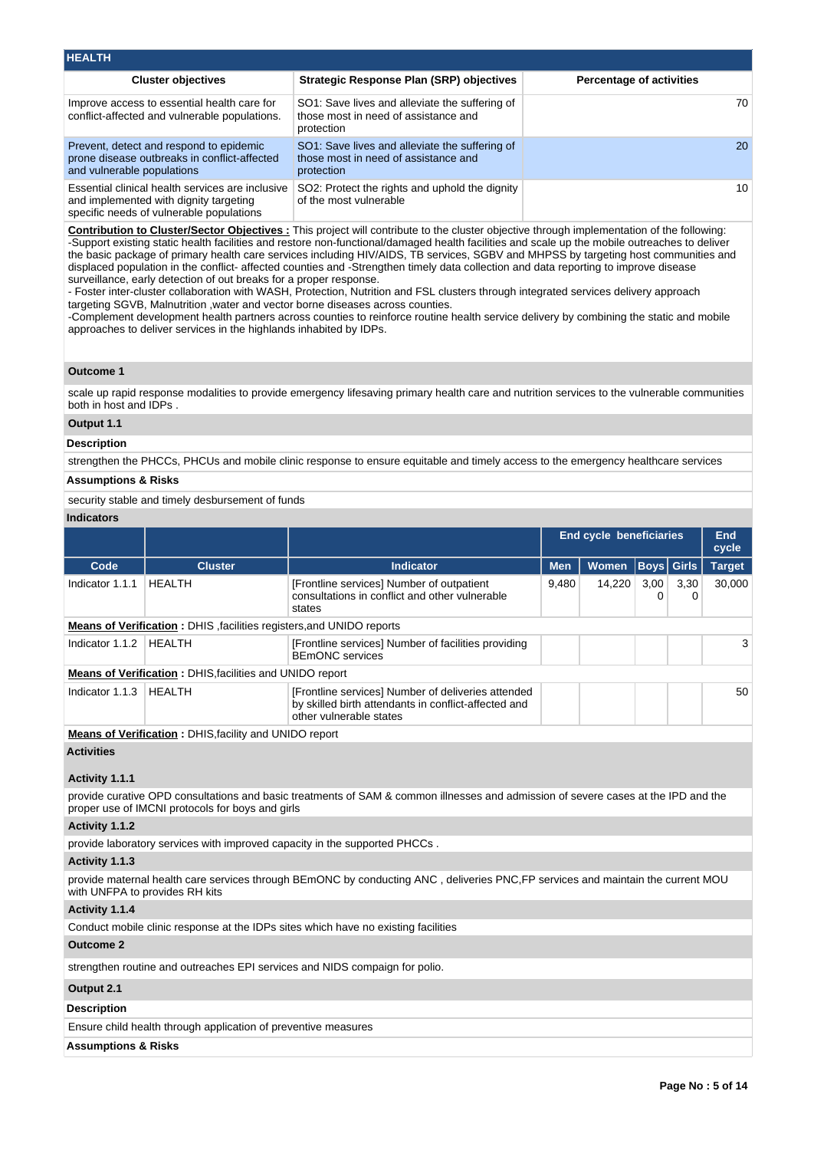| <b>HEALTH</b>                                                                                                                          |                                                                                                      |                                 |
|----------------------------------------------------------------------------------------------------------------------------------------|------------------------------------------------------------------------------------------------------|---------------------------------|
| <b>Cluster objectives</b>                                                                                                              | Strategic Response Plan (SRP) objectives                                                             | <b>Percentage of activities</b> |
| Improve access to essential health care for<br>conflict-affected and vulnerable populations.                                           | SO1: Save lives and alleviate the suffering of<br>those most in need of assistance and<br>protection | 70                              |
| Prevent, detect and respond to epidemic<br>prone disease outbreaks in conflict-affected<br>and vulnerable populations                  | SO1: Save lives and alleviate the suffering of<br>those most in need of assistance and<br>protection | <b>20</b>                       |
| Essential clinical health services are inclusive<br>and implemented with dignity targeting<br>specific needs of vulnerable populations | SO2: Protect the rights and uphold the dignity<br>of the most vulnerable                             | 10                              |

**Contribution to Cluster/Sector Objectives :** This project will contribute to the cluster objective through implementation of the following: -Support existing static health facilities and restore non-functional/damaged health facilities and scale up the mobile outreaches to deliver the basic package of primary health care services including HIV/AIDS, TB services, SGBV and MHPSS by targeting host communities and displaced population in the conflict- affected counties and -Strengthen timely data collection and data reporting to improve disease surveillance, early detection of out breaks for a proper response.

- Foster inter-cluster collaboration with WASH, Protection, Nutrition and FSL clusters through integrated services delivery approach targeting SGVB, Malnutrition ,water and vector borne diseases across counties.

-Complement development health partners across counties to reinforce routine health service delivery by combining the static and mobile approaches to deliver services in the highlands inhabited by IDPs.

#### **Outcome 1**

scale up rapid response modalities to provide emergency lifesaving primary health care and nutrition services to the vulnerable communities both in host and IDPs .

## **Output 1.1**

#### **Description**

strengthen the PHCCs, PHCUs and mobile clinic response to ensure equitable and timely access to the emergency healthcare services

#### **Assumptions & Risks**

security stable and timely desbursement of funds

## **Indicators**

|                 |                                                                       |                                                                                                                                       |            | <b>End cycle beneficiaries</b> |                   |           |               |
|-----------------|-----------------------------------------------------------------------|---------------------------------------------------------------------------------------------------------------------------------------|------------|--------------------------------|-------------------|-----------|---------------|
| Code            | <b>Cluster</b>                                                        | <b>Indicator</b>                                                                                                                      | <b>Men</b> | <b>Women</b>                   | <b>Boys</b> Girls |           | <b>Target</b> |
| Indicator 1.1.1 | HEALTH                                                                | [Frontline services] Number of outpatient<br>consultations in conflict and other vulnerable<br>states                                 | 9,480      | 14.220                         | 3,00              | 3,30<br>0 | 30.000        |
|                 | Means of Verification : DHIS, facilities registers, and UNIDO reports |                                                                                                                                       |            |                                |                   |           |               |
| Indicator 1.1.2 | HEALTH                                                                | [Frontline services] Number of facilities providing<br><b>BEmONC</b> services                                                         |            |                                |                   |           | 3             |
|                 | <b>Means of Verification: DHIS, facilities and UNIDO report</b>       |                                                                                                                                       |            |                                |                   |           |               |
| Indicator 1.1.3 | HEALTH                                                                | [Frontline services] Number of deliveries attended<br>by skilled birth attendants in conflict-affected and<br>other vulnerable states |            |                                |                   |           | 50            |
|                 | <b>Means of Verification: DHIS, facility and UNIDO report</b>         |                                                                                                                                       |            |                                |                   |           |               |

**Activities**

## **Activity 1.1.1**

provide curative OPD consultations and basic treatments of SAM & common illnesses and admission of severe cases at the IPD and the proper use of IMCNI protocols for boys and girls

**Activity 1.1.2** 

provide laboratory services with improved capacity in the supported PHCCs .

#### **Activity 1.1.3**

provide maternal health care services through BEmONC by conducting ANC , deliveries PNC,FP services and maintain the current MOU with UNFPA to provides RH kits

#### **Activity 1.1.4**

Conduct mobile clinic response at the IDPs sites which have no existing facilities

### **Outcome 2**

strengthen routine and outreaches EPI services and NIDS compaign for polio.

## **Output 2.1**

## **Description**

Ensure child health through application of preventive measures

## **Assumptions & Risks**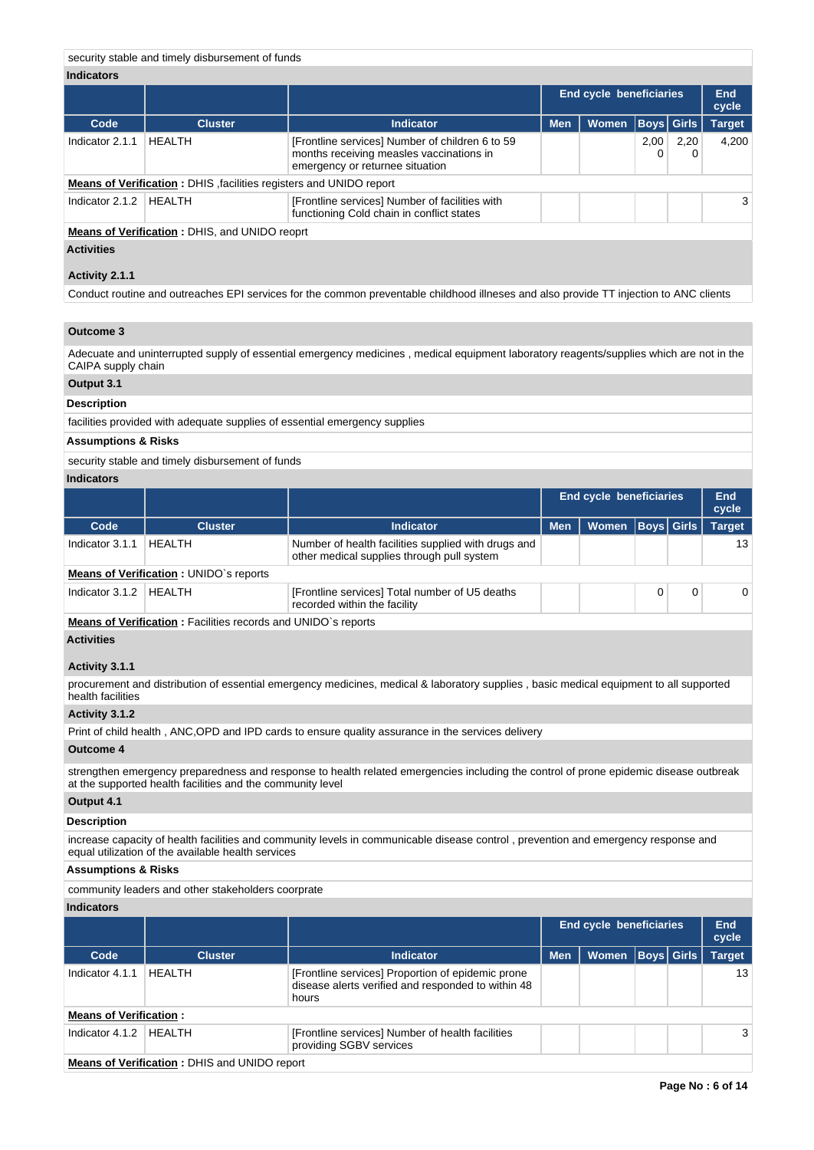## security stable and timely disbursement of funds

## **Indicators**

|                   |                                                                    |                                                                                                                                | End cycle beneficiaries | <b>End</b><br>cycle |                   |      |               |
|-------------------|--------------------------------------------------------------------|--------------------------------------------------------------------------------------------------------------------------------|-------------------------|---------------------|-------------------|------|---------------|
| Code              | <b>Cluster</b>                                                     | <b>Indicator</b>                                                                                                               | <b>Men</b>              | <b>Women</b>        | <b>Boys Girls</b> |      | <b>Target</b> |
| Indicator 2.1.1   | <b>HEALTH</b>                                                      | [Frontline services] Number of children 6 to 59<br>months receiving measles vaccinations in<br>emergency or returnee situation |                         |                     | 2,00<br>0         | 2,20 | 4.200         |
|                   | Means of Verification: DHIS, facilities registers and UNIDO report |                                                                                                                                |                         |                     |                   |      |               |
| Indicator 2.1.2   | <b>HEALTH</b>                                                      | [Frontline services] Number of facilities with<br>functioning Cold chain in conflict states                                    |                         |                     |                   |      | 3             |
|                   | <b>Means of Verification: DHIS, and UNIDO reoprt</b>               |                                                                                                                                |                         |                     |                   |      |               |
| <b>Activities</b> |                                                                    |                                                                                                                                |                         |                     |                   |      |               |

# **Activity 2.1.1**

Conduct routine and outreaches EPI services for the common preventable childhood illneses and also provide TT injection to ANC clients

## **Outcome 3**

Adecuate and uninterrupted supply of essential emergency medicines , medical equipment laboratory reagents/supplies which are not in the CAIPA supply chain

# **Output 3.1**

# **Description**

facilities provided with adequate supplies of essential emergency supplies

## **Assumptions & Risks**

security stable and timely disbursement of funds

## **Indicators**

|                   |                                                                           |                                                                                                   |            | <b>End cycle beneficiaries</b> |          |          |                 |
|-------------------|---------------------------------------------------------------------------|---------------------------------------------------------------------------------------------------|------------|--------------------------------|----------|----------|-----------------|
| Code              | <b>Cluster</b>                                                            | <b>Indicator</b>                                                                                  | <b>Men</b> | Women   Boys   Girls           |          |          | <b>Target</b>   |
| Indicator 3.1.1   | HEALTH                                                                    | Number of health facilities supplied with drugs and<br>other medical supplies through pull system |            |                                |          |          | 13 <sup>1</sup> |
|                   | <b>Means of Verification: UNIDO's reports</b>                             |                                                                                                   |            |                                |          |          |                 |
| Indicator $3.1.2$ | HEALTH                                                                    | [Frontline services] Total number of U5 deaths<br>recorded within the facility                    |            |                                | $\Omega$ | $\Omega$ |                 |
|                   | <b>Advisory of Monthlood comment of the contract of the HDON concerns</b> |                                                                                                   |            |                                |          |          |                 |

**Means of Verification :** Facilities records and UNIDO`s reports

## **Activities**

## **Activity 3.1.1**

procurement and distribution of essential emergency medicines, medical & laboratory supplies , basic medical equipment to all supported health facilities

### **Activity 3.1.2**

Print of child health , ANC,OPD and IPD cards to ensure quality assurance in the services delivery

#### **Outcome 4**

strengthen emergency preparedness and response to health related emergencies including the control of prone epidemic disease outbreak at the supported health facilities and the community level

## **Output 4.1**

## **Description**

increase capacity of health facilities and community levels in communicable disease control , prevention and emergency response and equal utilization of the available health services

#### **Assumptions & Risks**

community leaders and other stakeholders coorprate

## **Indicators**

|                               |                |                                                                                                                  |            | <b>End cycle beneficiaries</b> |  |  |               |  |
|-------------------------------|----------------|------------------------------------------------------------------------------------------------------------------|------------|--------------------------------|--|--|---------------|--|
| Code                          | <b>Cluster</b> | <b>Indicator</b>                                                                                                 | <b>Men</b> | <b>Women Boys Girls</b>        |  |  | <b>Target</b> |  |
| Indicator 4.1.1               | HEALTH         | [Frontline services] Proportion of epidemic prone<br>disease alerts verified and responded to within 48<br>hours |            |                                |  |  | 13            |  |
| <b>Means of Verification:</b> |                |                                                                                                                  |            |                                |  |  |               |  |
| Indicator 4.1.2               | HFAI TH        | [Frontline services] Number of health facilities<br>providing SGBV services                                      |            |                                |  |  | 3             |  |
|                               |                |                                                                                                                  |            |                                |  |  |               |  |

**Means of Verification :** DHIS and UNIDO report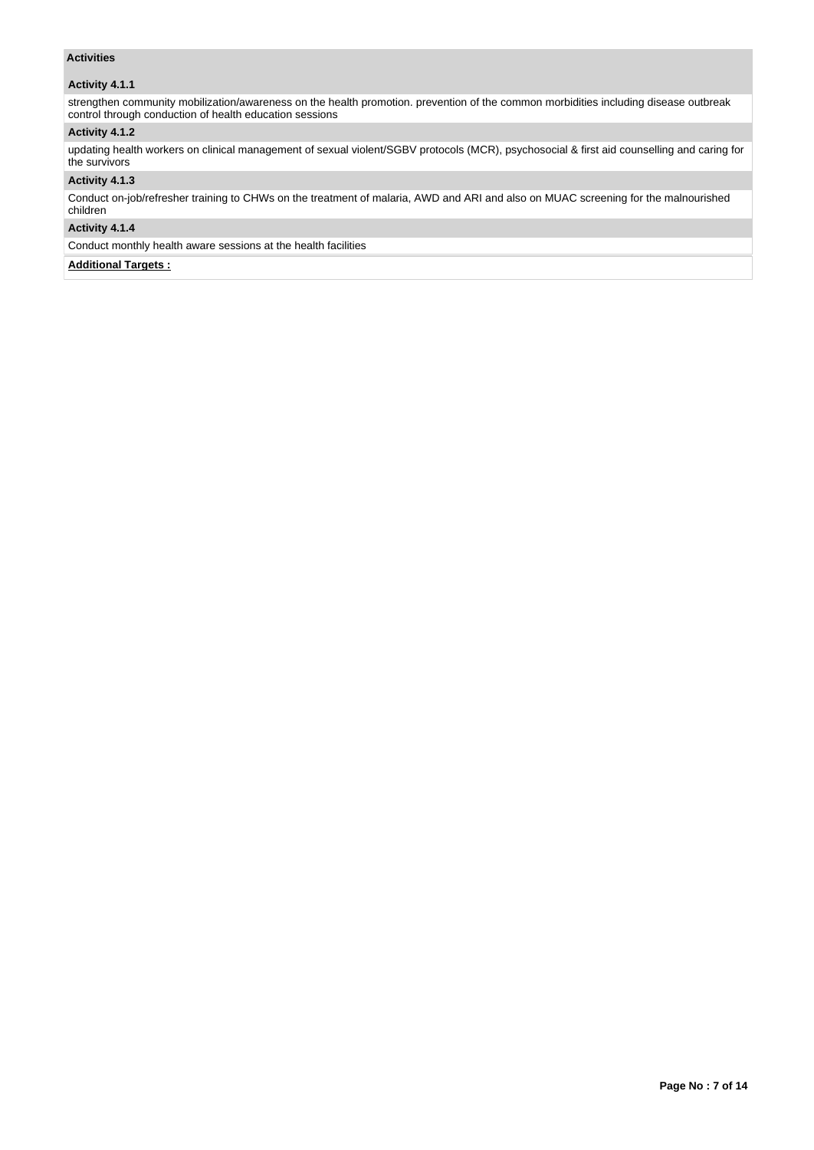## **Activities**

## **Activity 4.1.1**

strengthen community mobilization/awareness on the health promotion. prevention of the common morbidities including disease outbreak control through conduction of health education sessions

## **Activity 4.1.2**

updating health workers on clinical management of sexual violent/SGBV protocols (MCR), psychosocial & first aid counselling and caring for the survivors

#### **Activity 4.1.3**

Conduct on-job/refresher training to CHWs on the treatment of malaria, AWD and ARI and also on MUAC screening for the malnourished children

## **Activity 4.1.4**

Conduct monthly health aware sessions at the health facilities

## **Additional Targets :**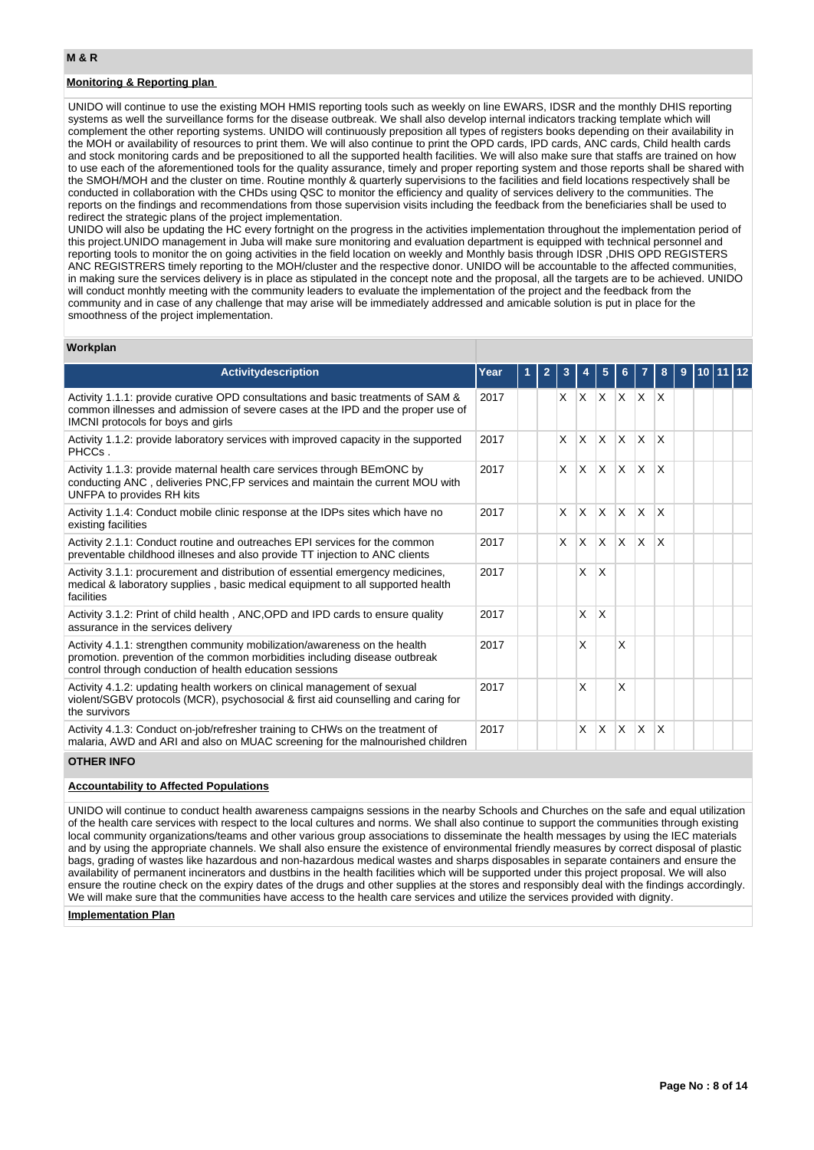## **Monitoring & Reporting plan**

UNIDO will continue to use the existing MOH HMIS reporting tools such as weekly on line EWARS, IDSR and the monthly DHIS reporting systems as well the surveillance forms for the disease outbreak. We shall also develop internal indicators tracking template which will complement the other reporting systems. UNIDO will continuously preposition all types of registers books depending on their availability in the MOH or availability of resources to print them. We will also continue to print the OPD cards, IPD cards, ANC cards, Child health cards and stock monitoring cards and be prepositioned to all the supported health facilities. We will also make sure that staffs are trained on how to use each of the aforementioned tools for the quality assurance, timely and proper reporting system and those reports shall be shared with the SMOH/MOH and the cluster on time. Routine monthly & quarterly supervisions to the facilities and field locations respectively shall be conducted in collaboration with the CHDs using QSC to monitor the efficiency and quality of services delivery to the communities. The reports on the findings and recommendations from those supervision visits including the feedback from the beneficiaries shall be used to redirect the strategic plans of the project implementation.

UNIDO will also be updating the HC every fortnight on the progress in the activities implementation throughout the implementation period of this project.UNIDO management in Juba will make sure monitoring and evaluation department is equipped with technical personnel and reporting tools to monitor the on going activities in the field location on weekly and Monthly basis through IDSR ,DHIS OPD REGISTERS ANC REGISTRERS timely reporting to the MOH/cluster and the respective donor. UNIDO will be accountable to the affected communities, in making sure the services delivery is in place as stipulated in the concept note and the proposal, all the targets are to be achieved. UNIDO will conduct monhtly meeting with the community leaders to evaluate the implementation of the project and the feedback from the community and in case of any challenge that may arise will be immediately addressed and amicable solution is put in place for the smoothness of the project implementation.

#### **Workplan**

| <b>Activitydescription</b>                                                                                                                                                                                         | Year |  |              |          | 5            |              |              | 8 | 9 |  |  |
|--------------------------------------------------------------------------------------------------------------------------------------------------------------------------------------------------------------------|------|--|--------------|----------|--------------|--------------|--------------|---|---|--|--|
| Activity 1.1.1: provide curative OPD consultations and basic treatments of SAM &<br>common illnesses and admission of severe cases at the IPD and the proper use of<br>IMCNI protocols for boys and girls          | 2017 |  | $\mathsf{X}$ | $\times$ | $\mathsf{x}$ |              | $X$ $X$ $X$  |   |   |  |  |
| Activity 1.1.2: provide laboratory services with improved capacity in the supported<br>PHCCs.                                                                                                                      | 2017 |  | X            | X        | <b>X</b>     | $\mathsf{x}$ | ΙX.          | X |   |  |  |
| Activity 1.1.3: provide maternal health care services through BEmONC by<br>conducting ANC, deliveries PNC, FP services and maintain the current MOU with<br>UNFPA to provides RH kits                              | 2017 |  | X            | $\times$ | IX.          | IX.          | $\mathsf{X}$ | X |   |  |  |
| Activity 1.1.4: Conduct mobile clinic response at the IDPs sites which have no<br>existing facilities                                                                                                              | 2017 |  | X            | X        | X            | $\mathsf{x}$ | <sup>X</sup> | X |   |  |  |
| Activity 2.1.1: Conduct routine and outreaches EPI services for the common<br>preventable childhood illneses and also provide TT injection to ANC clients                                                          | 2017 |  | X            | X        | <b>X</b>     | ΙX.          | $\mathsf{X}$ | X |   |  |  |
| Activity 3.1.1: procurement and distribution of essential emergency medicines,<br>medical & laboratory supplies, basic medical equipment to all supported health<br>facilities                                     | 2017 |  |              | X        | $\mathsf{X}$ |              |              |   |   |  |  |
| Activity 3.1.2: Print of child health, ANC, OPD and IPD cards to ensure quality<br>assurance in the services delivery                                                                                              | 2017 |  |              | X        | $\mathsf{X}$ |              |              |   |   |  |  |
| Activity 4.1.1: strengthen community mobilization/awareness on the health<br>promotion. prevention of the common morbidities including disease outbreak<br>control through conduction of health education sessions | 2017 |  |              | X        |              | X            |              |   |   |  |  |
| Activity 4.1.2: updating health workers on clinical management of sexual<br>violent/SGBV protocols (MCR), psychosocial & first aid counselling and caring for<br>the survivors                                     | 2017 |  |              | X        |              | X            |              |   |   |  |  |
| Activity 4.1.3: Conduct on-job/refresher training to CHWs on the treatment of<br>malaria, AWD and ARI and also on MUAC screening for the malnourished children                                                     | 2017 |  |              | X        | $\times$     | $\times$     | X            | X |   |  |  |

#### **OTHER INFO**

## **Accountability to Affected Populations**

UNIDO will continue to conduct health awareness campaigns sessions in the nearby Schools and Churches on the safe and equal utilization of the health care services with respect to the local cultures and norms. We shall also continue to support the communities through existing local community organizations/teams and other various group associations to disseminate the health messages by using the IEC materials and by using the appropriate channels. We shall also ensure the existence of environmental friendly measures by correct disposal of plastic bags, grading of wastes like hazardous and non-hazardous medical wastes and sharps disposables in separate containers and ensure the availability of permanent incinerators and dustbins in the health facilities which will be supported under this project proposal. We will also ensure the routine check on the expiry dates of the drugs and other supplies at the stores and responsibly deal with the findings accordingly. We will make sure that the communities have access to the health care services and utilize the services provided with dignity.

#### **Implementation Plan**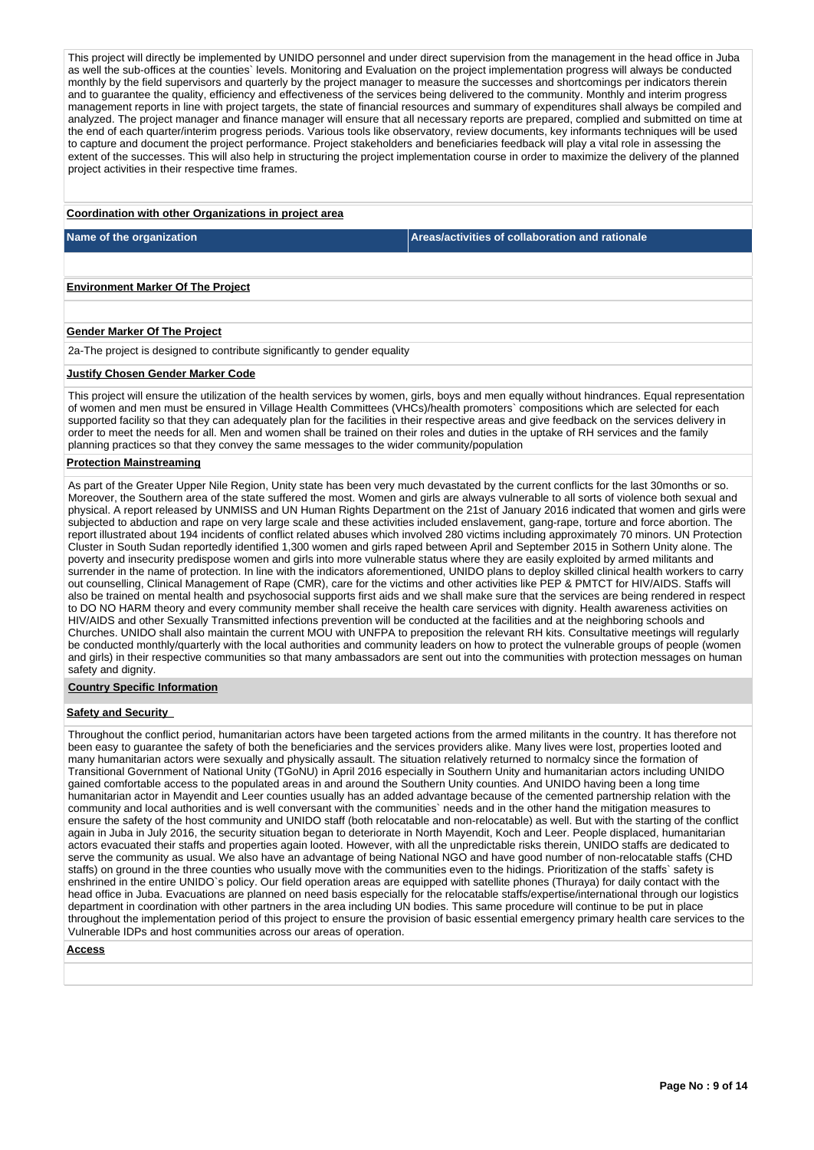This project will directly be implemented by UNIDO personnel and under direct supervision from the management in the head office in Juba as well the sub-offices at the counties` levels. Monitoring and Evaluation on the project implementation progress will always be conducted monthly by the field supervisors and quarterly by the project manager to measure the successes and shortcomings per indicators therein and to guarantee the quality, efficiency and effectiveness of the services being delivered to the community. Monthly and interim progress management reports in line with project targets, the state of financial resources and summary of expenditures shall always be compiled and analyzed. The project manager and finance manager will ensure that all necessary reports are prepared, complied and submitted on time at the end of each quarter/interim progress periods. Various tools like observatory, review documents, key informants techniques will be used to capture and document the project performance. Project stakeholders and beneficiaries feedback will play a vital role in assessing the extent of the successes. This will also help in structuring the project implementation course in order to maximize the delivery of the planned project activities in their respective time frames.

#### **Coordination with other Organizations in project area**

**Name of the organization Areas/activities of collaboration and rationale** 

**Environment Marker Of The Project**

#### **Gender Marker Of The Project**

2a-The project is designed to contribute significantly to gender equality

#### **Justify Chosen Gender Marker Code**

This project will ensure the utilization of the health services by women, girls, boys and men equally without hindrances. Equal representation of women and men must be ensured in Village Health Committees (VHCs)/health promoters` compositions which are selected for each supported facility so that they can adequately plan for the facilities in their respective areas and give feedback on the services delivery in order to meet the needs for all. Men and women shall be trained on their roles and duties in the uptake of RH services and the family planning practices so that they convey the same messages to the wider community/population

#### **Protection Mainstreaming**

As part of the Greater Upper Nile Region, Unity state has been very much devastated by the current conflicts for the last 30months or so. Moreover, the Southern area of the state suffered the most. Women and girls are always vulnerable to all sorts of violence both sexual and physical. A report released by UNMISS and UN Human Rights Department on the 21st of January 2016 indicated that women and girls were subjected to abduction and rape on very large scale and these activities included enslavement, gang-rape, torture and force abortion. The report illustrated about 194 incidents of conflict related abuses which involved 280 victims including approximately 70 minors. UN Protection Cluster in South Sudan reportedly identified 1,300 women and girls raped between April and September 2015 in Sothern Unity alone. The poverty and insecurity predispose women and girls into more vulnerable status where they are easily exploited by armed militants and surrender in the name of protection. In line with the indicators aforementioned, UNIDO plans to deploy skilled clinical health workers to carry out counselling, Clinical Management of Rape (CMR), care for the victims and other activities like PEP & PMTCT for HIV/AIDS. Staffs will also be trained on mental health and psychosocial supports first aids and we shall make sure that the services are being rendered in respect to DO NO HARM theory and every community member shall receive the health care services with dignity. Health awareness activities on HIV/AIDS and other Sexually Transmitted infections prevention will be conducted at the facilities and at the neighboring schools and Churches. UNIDO shall also maintain the current MOU with UNFPA to preposition the relevant RH kits. Consultative meetings will regularly be conducted monthly/quarterly with the local authorities and community leaders on how to protect the vulnerable groups of people (women and girls) in their respective communities so that many ambassadors are sent out into the communities with protection messages on human safety and dignity.

#### **Country Specific Information**

## **Safety and Security**

Throughout the conflict period, humanitarian actors have been targeted actions from the armed militants in the country. It has therefore not been easy to guarantee the safety of both the beneficiaries and the services providers alike. Many lives were lost, properties looted and many humanitarian actors were sexually and physically assault. The situation relatively returned to normalcy since the formation of Transitional Government of National Unity (TGoNU) in April 2016 especially in Southern Unity and humanitarian actors including UNIDO gained comfortable access to the populated areas in and around the Southern Unity counties. And UNIDO having been a long time humanitarian actor in Mayendit and Leer counties usually has an added advantage because of the cemented partnership relation with the community and local authorities and is well conversant with the communities` needs and in the other hand the mitigation measures to ensure the safety of the host community and UNIDO staff (both relocatable and non-relocatable) as well. But with the starting of the conflict again in Juba in July 2016, the security situation began to deteriorate in North Mayendit, Koch and Leer. People displaced, humanitarian actors evacuated their staffs and properties again looted. However, with all the unpredictable risks therein, UNIDO staffs are dedicated to serve the community as usual. We also have an advantage of being National NGO and have good number of non-relocatable staffs (CHD staffs) on ground in the three counties who usually move with the communities even to the hidings. Prioritization of the staffs` safety is enshrined in the entire UNIDO`s policy. Our field operation areas are equipped with satellite phones (Thuraya) for daily contact with the head office in Juba. Evacuations are planned on need basis especially for the relocatable staffs/expertise/international through our logistics department in coordination with other partners in the area including UN bodies. This same procedure will continue to be put in place throughout the implementation period of this project to ensure the provision of basic essential emergency primary health care services to the Vulnerable IDPs and host communities across our areas of operation.

#### **Access**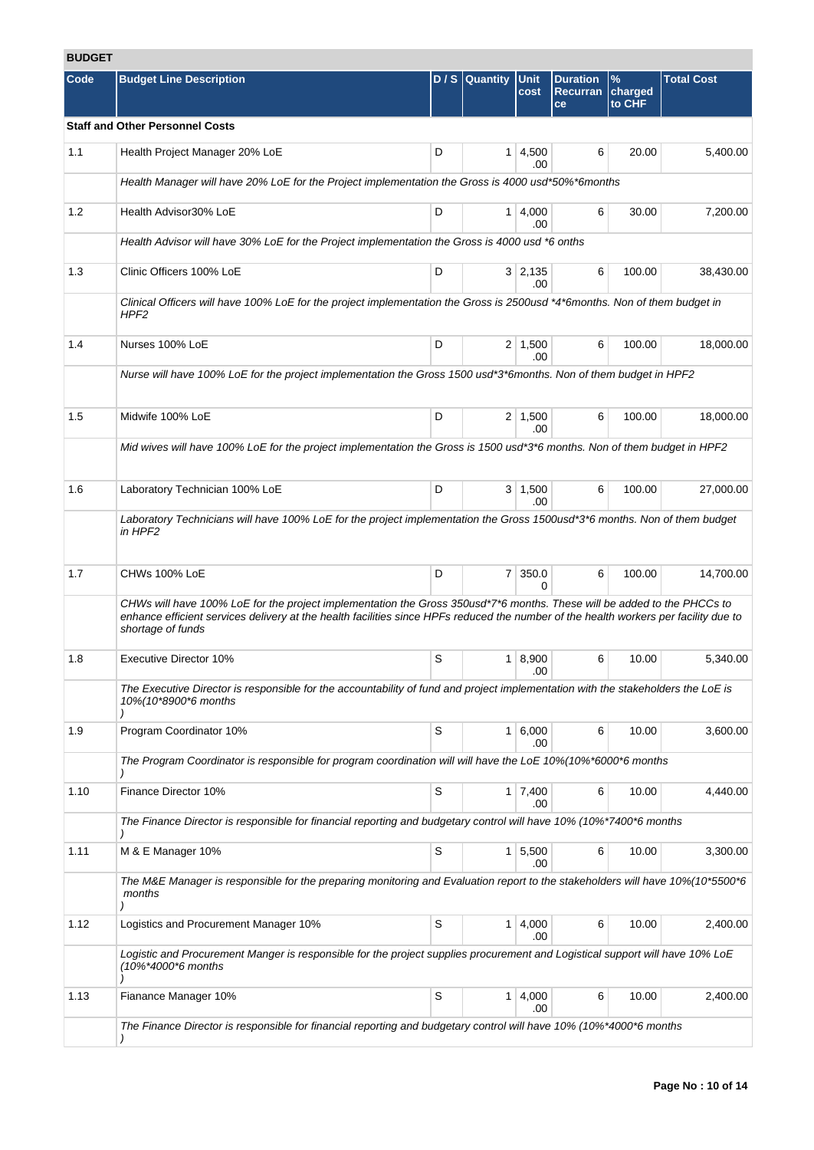# **BUDGET**

| Code | <b>Budget Line Description</b>                                                                                                                                                                                                                                                       |   | D / S Quantity | Unit                  | <b>Duration</b>       | $\%$              | <b>Total Cost</b> |
|------|--------------------------------------------------------------------------------------------------------------------------------------------------------------------------------------------------------------------------------------------------------------------------------------|---|----------------|-----------------------|-----------------------|-------------------|-------------------|
|      |                                                                                                                                                                                                                                                                                      |   |                | cost                  | <b>Recurran</b><br>ce | charged<br>to CHF |                   |
|      | <b>Staff and Other Personnel Costs</b>                                                                                                                                                                                                                                               |   |                |                       |                       |                   |                   |
| 1.1  | Health Project Manager 20% LoE                                                                                                                                                                                                                                                       | D |                | $1 \mid 4,500$<br>.00 | 6                     | 20.00             | 5,400.00          |
|      | Health Manager will have 20% LoE for the Project implementation the Gross is 4000 usd*50%*6months                                                                                                                                                                                    |   |                |                       |                       |                   |                   |
| 1.2  | Health Advisor30% LoE                                                                                                                                                                                                                                                                | D |                | $1 \mid 4,000$<br>.00 | 6                     | 30.00             | 7.200.00          |
|      | Health Advisor will have 30% LoE for the Project implementation the Gross is 4000 usd *6 onths                                                                                                                                                                                       |   |                |                       |                       |                   |                   |
| 1.3  | Clinic Officers 100% LoE                                                                                                                                                                                                                                                             | D |                | $3 \mid 2,135$<br>.00 | 6                     | 100.00            | 38,430.00         |
|      | Clinical Officers will have 100% LoE for the project implementation the Gross is 2500usd *4*6months. Non of them budget in<br>HPF2                                                                                                                                                   |   |                |                       |                       |                   |                   |
| 1.4  | Nurses 100% LoE                                                                                                                                                                                                                                                                      | D |                | $2 \mid 1,500$<br>.00 | 6                     | 100.00            | 18,000.00         |
|      | Nurse will have 100% LoE for the project implementation the Gross 1500 usd*3*6months. Non of them budget in HPF2                                                                                                                                                                     |   |                |                       |                       |                   |                   |
| 1.5  | Midwife 100% LoE                                                                                                                                                                                                                                                                     | D |                | $2 \mid 1,500$<br>.00 | 6                     | 100.00            | 18,000.00         |
|      | Mid wives will have 100% LoE for the project implementation the Gross is 1500 usd*3*6 months. Non of them budget in HPF2                                                                                                                                                             |   |                |                       |                       |                   |                   |
| 1.6  | Laboratory Technician 100% LoE                                                                                                                                                                                                                                                       | D |                | $3 \mid 1,500$<br>.00 | 6                     | 100.00            | 27,000.00         |
|      | Laboratory Technicians will have 100% LoE for the project implementation the Gross 1500usd*3*6 months. Non of them budget<br>in HPF2                                                                                                                                                 |   |                |                       |                       |                   |                   |
| 1.7  | CHWs 100% LoE                                                                                                                                                                                                                                                                        | D |                | 7 350.0<br>0          | 6                     | 100.00            | 14,700.00         |
|      | CHWs will have 100% LoE for the project implementation the Gross 350usd*7*6 months. These will be added to the PHCCs to<br>enhance efficient services delivery at the health facilities since HPFs reduced the number of the health workers per facility due to<br>shortage of funds |   |                |                       |                       |                   |                   |
| 1.8  | <b>Executive Director 10%</b>                                                                                                                                                                                                                                                        | S |                | 1   8,900<br>.00      | 6                     | 10.00             | 5,340.00          |
|      | The Executive Director is responsible for the accountability of fund and project implementation with the stakeholders the LoE is<br>10%(10*8900*6 months                                                                                                                             |   |                |                       |                       |                   |                   |
| 1.9  | Program Coordinator 10%                                                                                                                                                                                                                                                              | S |                | $1 \, 6,000$<br>.00   | 6                     | 10.00             | 3,600.00          |
|      | The Program Coordinator is responsible for program coordination will will have the LoE 10%(10%*6000*6 months                                                                                                                                                                         |   |                |                       |                       |                   |                   |
| 1.10 | Finance Director 10%                                                                                                                                                                                                                                                                 | S |                | $1 \mid 7,400$<br>.00 | 6                     | 10.00             | 4,440.00          |
|      | The Finance Director is responsible for financial reporting and budgetary control will have 10% (10%*7400*6 months                                                                                                                                                                   |   |                |                       |                       |                   |                   |
| 1.11 | M & E Manager 10%                                                                                                                                                                                                                                                                    | S | 1              | 5,500<br>.00          | 6                     | 10.00             | 3,300.00          |
|      | The M&E Manager is responsible for the preparing monitoring and Evaluation report to the stakeholders will have 10%(10*5500*6<br>months                                                                                                                                              |   |                |                       |                       |                   |                   |
| 1.12 | Logistics and Procurement Manager 10%                                                                                                                                                                                                                                                | S | 1 <sup>1</sup> | 4,000<br>.00          | 6                     | 10.00             | 2,400.00          |
|      | Logistic and Procurement Manger is responsible for the project supplies procurement and Logistical support will have 10% LoE<br>(10%*4000*6 months                                                                                                                                   |   |                |                       |                       |                   |                   |
| 1.13 | Fianance Manager 10%                                                                                                                                                                                                                                                                 | S |                | $1 \mid 4,000$<br>.00 | 6                     | 10.00             | 2,400.00          |
|      | The Finance Director is responsible for financial reporting and budgetary control will have 10% (10%*4000*6 months                                                                                                                                                                   |   |                |                       |                       |                   |                   |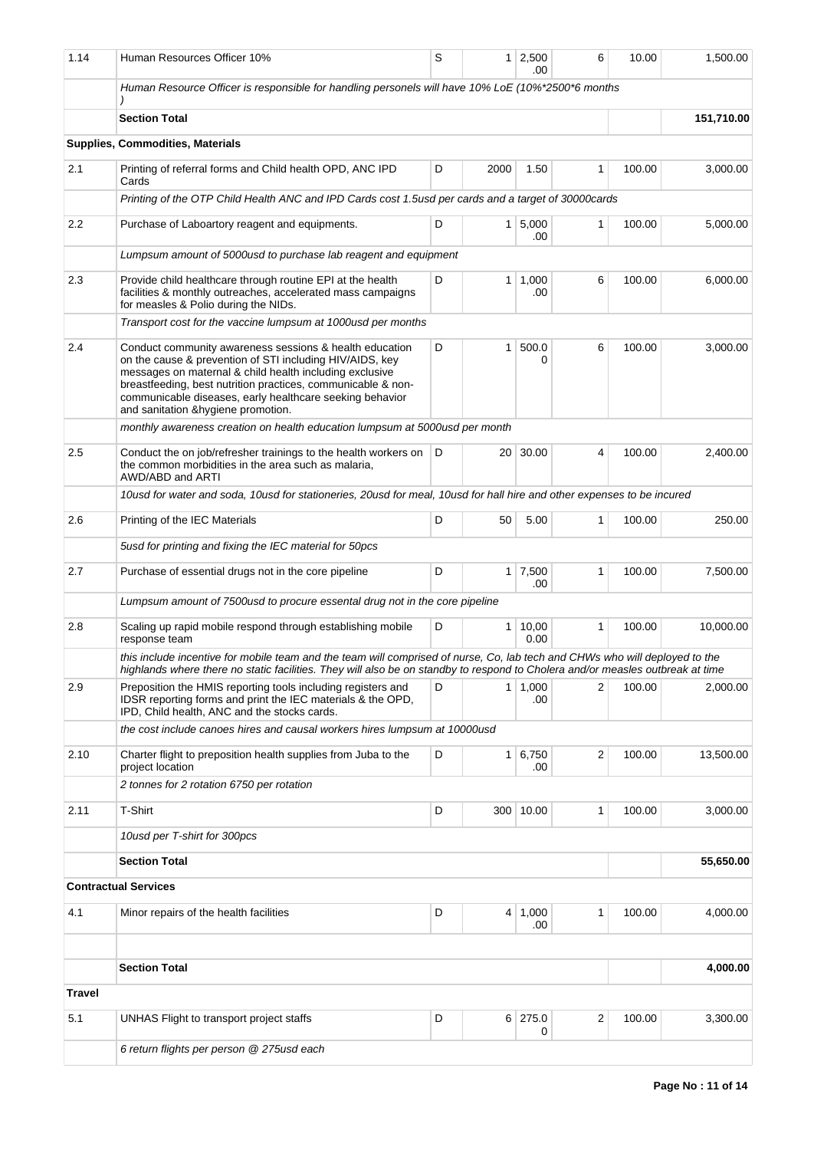| 1.14          | Human Resources Officer 10%                                                                                                                                                                                                                                                                                                                      | S |                 | $1 \ 2,500$<br>.00 | 6              | 10.00  | 1,500.00   |  |  |  |
|---------------|--------------------------------------------------------------------------------------------------------------------------------------------------------------------------------------------------------------------------------------------------------------------------------------------------------------------------------------------------|---|-----------------|--------------------|----------------|--------|------------|--|--|--|
|               | Human Resource Officer is responsible for handling personels will have 10% LoE (10%*2500*6 months                                                                                                                                                                                                                                                |   |                 |                    |                |        |            |  |  |  |
|               | <b>Section Total</b>                                                                                                                                                                                                                                                                                                                             |   |                 |                    |                |        | 151,710.00 |  |  |  |
|               | Supplies, Commodities, Materials                                                                                                                                                                                                                                                                                                                 |   |                 |                    |                |        |            |  |  |  |
| 2.1           | Printing of referral forms and Child health OPD, ANC IPD<br>Cards                                                                                                                                                                                                                                                                                | D | 2000            | 1.50               | 1              | 100.00 | 3,000.00   |  |  |  |
|               | Printing of the OTP Child Health ANC and IPD Cards cost 1.5usd per cards and a target of 30000cards                                                                                                                                                                                                                                              |   |                 |                    |                |        |            |  |  |  |
| 2.2           | Purchase of Laboartory reagent and equipments.                                                                                                                                                                                                                                                                                                   | D | 1 <sup>1</sup>  | 5,000<br>.00       | 1              | 100.00 | 5,000.00   |  |  |  |
|               | Lumpsum amount of 5000usd to purchase lab reagent and equipment                                                                                                                                                                                                                                                                                  |   |                 |                    |                |        |            |  |  |  |
| 2.3           | D<br>Provide child healthcare through routine EPI at the health<br>facilities & monthly outreaches, accelerated mass campaigns<br>for measles & Polio during the NIDs.                                                                                                                                                                           |   |                 | 1,000<br>.00       | 6              | 100.00 | 6,000.00   |  |  |  |
|               | Transport cost for the vaccine lumpsum at 1000usd per months                                                                                                                                                                                                                                                                                     |   |                 |                    |                |        |            |  |  |  |
| 2.4           | Conduct community awareness sessions & health education<br>on the cause & prevention of STI including HIV/AIDS, key<br>messages on maternal & child health including exclusive<br>breastfeeding, best nutrition practices, communicable & non-<br>communicable diseases, early healthcare seeking behavior<br>and sanitation &hygiene promotion. | D | $\mathbf{1}$    | 500.0<br>0         | 6              | 100.00 | 3,000.00   |  |  |  |
|               | monthly awareness creation on health education lumpsum at 5000 usd per month                                                                                                                                                                                                                                                                     |   |                 |                    |                |        |            |  |  |  |
| 2.5           | Conduct the on job/refresher trainings to the health workers on<br>the common morbidities in the area such as malaria,<br>AWD/ABD and ARTI                                                                                                                                                                                                       | D | 20 <sup>1</sup> | 30.00              | $\overline{4}$ | 100.00 | 2,400.00   |  |  |  |
|               | 10usd for water and soda, 10usd for stationeries, 20usd for meal, 10usd for hall hire and other expenses to be incured                                                                                                                                                                                                                           |   |                 |                    |                |        |            |  |  |  |
| 2.6           | Printing of the IEC Materials                                                                                                                                                                                                                                                                                                                    | D | 50              | 5.00               | $\mathbf{1}$   | 100.00 | 250.00     |  |  |  |
|               | 5usd for printing and fixing the IEC material for 50pcs                                                                                                                                                                                                                                                                                          |   |                 |                    |                |        |            |  |  |  |
| 2.7           | Purchase of essential drugs not in the core pipeline                                                                                                                                                                                                                                                                                             | D | 1 <sup>1</sup>  | 7,500<br>.00       | 1              | 100.00 | 7,500.00   |  |  |  |
|               | Lumpsum amount of 7500usd to procure essental drug not in the core pipeline                                                                                                                                                                                                                                                                      |   |                 |                    |                |        |            |  |  |  |
| 2.8           | Scaling up rapid mobile respond through establishing mobile<br>response team                                                                                                                                                                                                                                                                     | D | 1               | 10,00<br>0.00      | $\mathbf{1}$   | 100.00 | 10,000.00  |  |  |  |
|               | this include incentive for mobile team and the team will comprised of nurse, Co, lab tech and CHWs who will deployed to the<br>highlands where there no static facilities. They will also be on standby to respond to Cholera and/or measles outbreak at time                                                                                    |   |                 |                    |                |        |            |  |  |  |
| 2.9           | Preposition the HMIS reporting tools including registers and<br>IDSR reporting forms and print the IEC materials & the OPD,<br>IPD, Child health, ANC and the stocks cards.                                                                                                                                                                      |   | 1               | 1,000<br>.00       | $\overline{2}$ | 100.00 | 2,000.00   |  |  |  |
|               | the cost include canoes hires and causal workers hires lumpsum at 10000usd                                                                                                                                                                                                                                                                       |   |                 |                    |                |        |            |  |  |  |
| 2.10          | Charter flight to preposition health supplies from Juba to the<br>project location                                                                                                                                                                                                                                                               | D | 1 <sup>1</sup>  | 6,750<br>.00       | $\overline{2}$ | 100.00 | 13,500.00  |  |  |  |
|               | 2 tonnes for 2 rotation 6750 per rotation                                                                                                                                                                                                                                                                                                        |   |                 |                    |                |        |            |  |  |  |
| 2.11          | T-Shirt                                                                                                                                                                                                                                                                                                                                          | D |                 | 300 10.00          | 1              | 100.00 | 3,000.00   |  |  |  |
|               | 10usd per T-shirt for 300pcs                                                                                                                                                                                                                                                                                                                     |   |                 |                    |                |        |            |  |  |  |
|               | <b>Section Total</b>                                                                                                                                                                                                                                                                                                                             |   |                 |                    |                |        | 55,650.00  |  |  |  |
|               | <b>Contractual Services</b>                                                                                                                                                                                                                                                                                                                      |   |                 |                    |                |        |            |  |  |  |
| 4.1           | Minor repairs of the health facilities                                                                                                                                                                                                                                                                                                           | D | $\overline{4}$  | 1,000<br>.00       | 1              | 100.00 | 4,000.00   |  |  |  |
|               |                                                                                                                                                                                                                                                                                                                                                  |   |                 |                    |                |        |            |  |  |  |
|               | <b>Section Total</b>                                                                                                                                                                                                                                                                                                                             |   |                 |                    |                |        | 4,000.00   |  |  |  |
| <b>Travel</b> |                                                                                                                                                                                                                                                                                                                                                  |   |                 |                    |                |        |            |  |  |  |
| 5.1           | UNHAS Flight to transport project staffs                                                                                                                                                                                                                                                                                                         | D |                 | $6$ 275.0<br>0     | $\overline{2}$ | 100.00 | 3,300.00   |  |  |  |
|               | 6 return flights per person @ 275usd each                                                                                                                                                                                                                                                                                                        |   |                 |                    |                |        |            |  |  |  |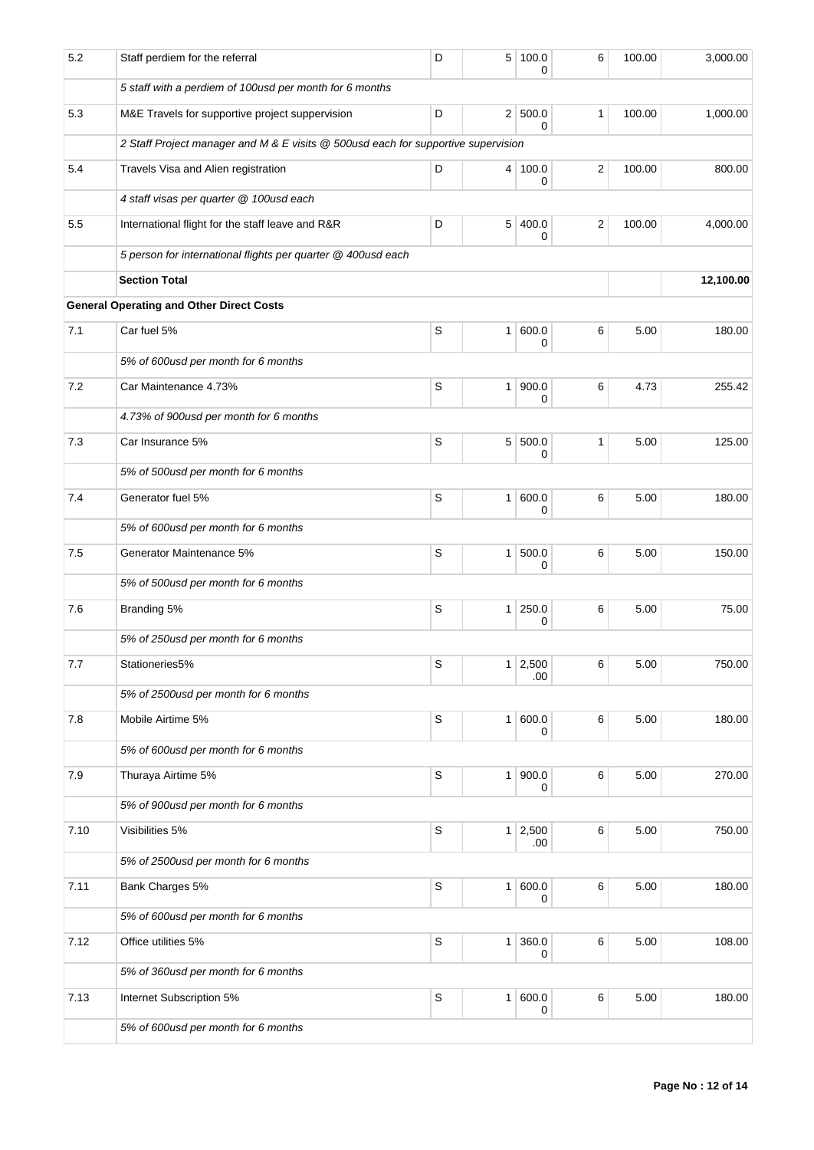| 5.2  | Staff perdiem for the referral                                                    | D           | 5              | 100.0<br>0            | 6       | 100.00 | 3,000.00  |  |  |  |  |
|------|-----------------------------------------------------------------------------------|-------------|----------------|-----------------------|---------|--------|-----------|--|--|--|--|
|      | 5 staff with a perdiem of 100usd per month for 6 months                           |             |                |                       |         |        |           |  |  |  |  |
| 5.3  | M&E Travels for supportive project suppervision                                   | D           |                | 2 500.0<br>$\Omega$   | 1       | 100.00 | 1,000.00  |  |  |  |  |
|      | 2 Staff Project manager and M & E visits @ 500usd each for supportive supervision |             |                |                       |         |        |           |  |  |  |  |
| 5.4  | Travels Visa and Alien registration                                               | D           |                | 4 100.0<br>0          | 2       | 100.00 | 800.00    |  |  |  |  |
|      | 4 staff visas per quarter @ 100usd each                                           |             |                |                       |         |        |           |  |  |  |  |
| 5.5  | International flight for the staff leave and R&R                                  | D           | 5              | 400.0<br>0            | 2       | 100.00 | 4,000.00  |  |  |  |  |
|      | 5 person for international flights per quarter @ 400usd each                      |             |                |                       |         |        |           |  |  |  |  |
|      | <b>Section Total</b>                                                              |             |                |                       |         |        | 12,100.00 |  |  |  |  |
|      | <b>General Operating and Other Direct Costs</b>                                   |             |                |                       |         |        |           |  |  |  |  |
| 7.1  | Car fuel 5%                                                                       | $\mathbb S$ |                | 1   600.0<br>0        | 6       | 5.00   | 180.00    |  |  |  |  |
|      | 5% of 600usd per month for 6 months                                               |             |                |                       |         |        |           |  |  |  |  |
| 7.2  | Car Maintenance 4.73%                                                             | $\mathbb S$ |                | 1   900.0<br>0        | 6       | 4.73   | 255.42    |  |  |  |  |
|      | 4.73% of 900usd per month for 6 months                                            |             |                |                       |         |        |           |  |  |  |  |
| 7.3  | Car Insurance 5%                                                                  | S           |                | 5 500.0<br>0          | 1       | 5.00   | 125.00    |  |  |  |  |
|      | 5% of 500 usd per month for 6 months                                              |             |                |                       |         |        |           |  |  |  |  |
| 7.4  | Generator fuel 5%                                                                 | S           |                | 1   600.0<br>0        | 6       | 5.00   | 180.00    |  |  |  |  |
|      | 5% of 600 usd per month for 6 months                                              |             |                |                       |         |        |           |  |  |  |  |
| 7.5  | Generator Maintenance 5%                                                          | $\mathbb S$ | 1 <sup>1</sup> | 500.0<br>0            | 6       | 5.00   | 150.00    |  |  |  |  |
|      | 5% of 500usd per month for 6 months                                               |             |                |                       |         |        |           |  |  |  |  |
| 7.6  | Branding 5%                                                                       | S           |                | 1 250.0<br>0          | 6       | 5.00   | 75.00     |  |  |  |  |
|      | 5% of 250 usd per month for 6 months                                              |             |                |                       |         |        |           |  |  |  |  |
| 7.7  | Stationeries5%                                                                    | S           |                | $1 \mid 2,500$<br>.00 | 6       | 5.00   | 750.00    |  |  |  |  |
|      | 5% of 2500usd per month for 6 months                                              |             |                |                       |         |        |           |  |  |  |  |
| 7.8  | Mobile Airtime 5%                                                                 | S           |                | 1   600.0<br>0        | $\,6\,$ | 5.00   | 180.00    |  |  |  |  |
|      | 5% of 600 usd per month for 6 months                                              |             |                |                       |         |        |           |  |  |  |  |
| 7.9  | Thuraya Airtime 5%                                                                | $\mathsf S$ |                | 1   900.0<br>0        | 6       | 5.00   | 270.00    |  |  |  |  |
|      | 5% of 900usd per month for 6 months                                               |             |                |                       |         |        |           |  |  |  |  |
| 7.10 | Visibilities 5%                                                                   | $\mathbb S$ |                | $1 \mid 2,500$<br>.00 | 6       | 5.00   | 750.00    |  |  |  |  |
|      | 5% of 2500usd per month for 6 months                                              |             |                |                       |         |        |           |  |  |  |  |
| 7.11 | Bank Charges 5%                                                                   | $\mathsf S$ |                | 1   600.0<br>0        | 6       | 5.00   | 180.00    |  |  |  |  |
|      | 5% of 600usd per month for 6 months                                               |             |                |                       |         |        |           |  |  |  |  |
| 7.12 | Office utilities 5%                                                               | $\mathbb S$ |                | 1 360.0<br>0          | 6       | 5.00   | 108.00    |  |  |  |  |
|      | 5% of 360usd per month for 6 months                                               |             |                |                       |         |        |           |  |  |  |  |
| 7.13 | Internet Subscription 5%                                                          | $\mathbb S$ |                | 1 600.0<br>0          | 6       | 5.00   | 180.00    |  |  |  |  |
|      | 5% of 600usd per month for 6 months                                               |             |                |                       |         |        |           |  |  |  |  |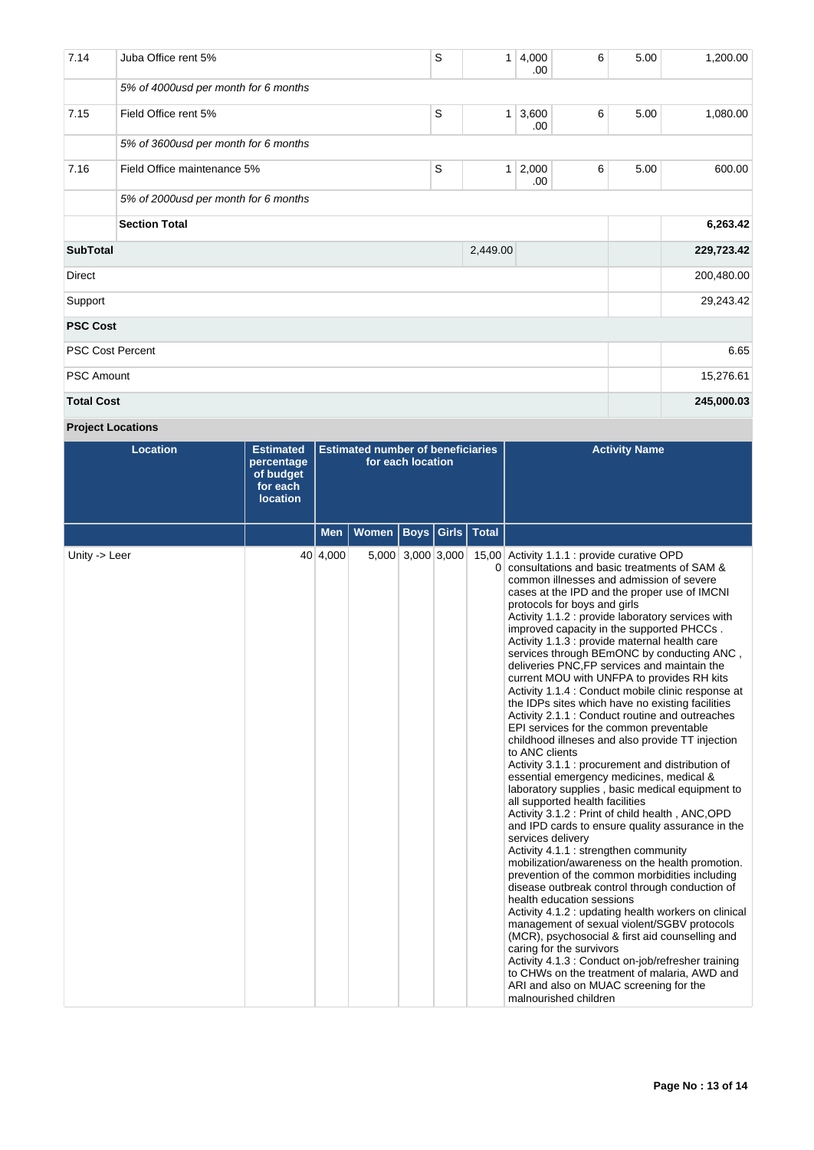| 7.14                        | Juba Office rent 5%                  | S | 1            | 4,000<br>.00. | 6 | 5.00       | 1,200.00   |
|-----------------------------|--------------------------------------|---|--------------|---------------|---|------------|------------|
|                             | 5% of 4000usd per month for 6 months |   |              |               |   |            |            |
| 7.15                        | Field Office rent 5%                 | S | $\mathbf{1}$ | 3,600<br>.00. | 6 | 5.00       | 1,080.00   |
|                             | 5% of 3600usd per month for 6 months |   |              |               |   |            |            |
| 7.16                        | Field Office maintenance 5%          | S | $\mathbf{1}$ | 2,000<br>.00. | 6 | 5.00       | 600.00     |
|                             | 5% of 2000usd per month for 6 months |   |              |               |   |            |            |
|                             | <b>Section Total</b>                 |   |              |               |   |            | 6,263.42   |
| <b>SubTotal</b><br>2,449.00 |                                      |   |              |               |   |            | 229,723.42 |
| <b>Direct</b>               |                                      |   |              |               |   |            | 200,480.00 |
| Support                     |                                      |   |              |               |   |            | 29,243.42  |
| <b>PSC Cost</b>             |                                      |   |              |               |   |            |            |
| <b>PSC Cost Percent</b>     |                                      |   |              |               |   |            | 6.65       |
| <b>PSC Amount</b>           |                                      |   |              |               |   |            | 15,276.61  |
| <b>Total Cost</b>           |                                      |   |              |               |   | 245,000.03 |            |

**Project Locations**

| <b>Location</b> | <b>Estimated</b><br>percentage<br>of budget<br>for each<br><b>location</b> | <b>Estimated number of beneficiaries</b><br>for each location |              |                   |               |              | <b>Activity Name</b>                                                                                                                                                                                                                                                                                                                                                                                                                                                                                                                                                                                                                                                                                                                                                                                                                                                                                                                                                                                                                                                                                                                                                                                                                                                                                                                                                                                                                                                                                                                                                                                                                                                                                                 |  |  |
|-----------------|----------------------------------------------------------------------------|---------------------------------------------------------------|--------------|-------------------|---------------|--------------|----------------------------------------------------------------------------------------------------------------------------------------------------------------------------------------------------------------------------------------------------------------------------------------------------------------------------------------------------------------------------------------------------------------------------------------------------------------------------------------------------------------------------------------------------------------------------------------------------------------------------------------------------------------------------------------------------------------------------------------------------------------------------------------------------------------------------------------------------------------------------------------------------------------------------------------------------------------------------------------------------------------------------------------------------------------------------------------------------------------------------------------------------------------------------------------------------------------------------------------------------------------------------------------------------------------------------------------------------------------------------------------------------------------------------------------------------------------------------------------------------------------------------------------------------------------------------------------------------------------------------------------------------------------------------------------------------------------------|--|--|
|                 |                                                                            | Men                                                           | <b>Women</b> | <b>Boys</b>       | $ $ Girls $ $ | <b>Total</b> |                                                                                                                                                                                                                                                                                                                                                                                                                                                                                                                                                                                                                                                                                                                                                                                                                                                                                                                                                                                                                                                                                                                                                                                                                                                                                                                                                                                                                                                                                                                                                                                                                                                                                                                      |  |  |
| Unity -> Leer   |                                                                            | 40 4,000                                                      |              | 5,000 3,000 3,000 |               |              | 15,00 Activity 1.1.1 : provide curative OPD<br>0 consultations and basic treatments of SAM &<br>common illnesses and admission of severe<br>cases at the IPD and the proper use of IMCNI<br>protocols for boys and girls<br>Activity 1.1.2 : provide laboratory services with<br>improved capacity in the supported PHCCs.<br>Activity 1.1.3 : provide maternal health care<br>services through BEmONC by conducting ANC,<br>deliveries PNC, FP services and maintain the<br>current MOU with UNFPA to provides RH kits<br>Activity 1.1.4 : Conduct mobile clinic response at<br>the IDPs sites which have no existing facilities<br>Activity 2.1.1 : Conduct routine and outreaches<br>EPI services for the common preventable<br>childhood illneses and also provide TT injection<br>to ANC clients<br>Activity 3.1.1 : procurement and distribution of<br>essential emergency medicines, medical &<br>laboratory supplies, basic medical equipment to<br>all supported health facilities<br>Activity 3.1.2 : Print of child health, ANC, OPD<br>and IPD cards to ensure quality assurance in the<br>services delivery<br>Activity 4.1.1 : strengthen community<br>mobilization/awareness on the health promotion.<br>prevention of the common morbidities including<br>disease outbreak control through conduction of<br>health education sessions<br>Activity 4.1.2 : updating health workers on clinical<br>management of sexual violent/SGBV protocols<br>(MCR), psychosocial & first aid counselling and<br>caring for the survivors<br>Activity 4.1.3 : Conduct on-job/refresher training<br>to CHWs on the treatment of malaria, AWD and<br>ARI and also on MUAC screening for the<br>malnourished children |  |  |